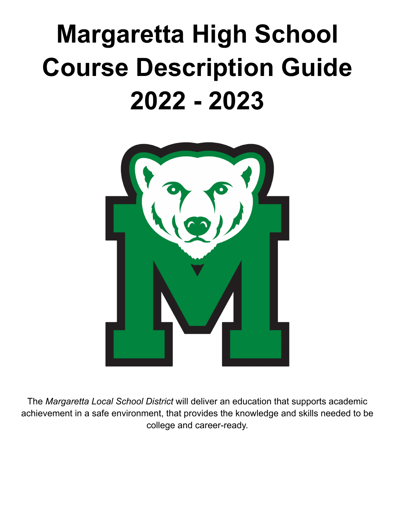# **Margaretta High School Course Description Guide 2022 - 2023**



The *Margaretta Local School District* will deliver an education that supports academic achievement in a safe environment, that provides the knowledge and skills needed to be college and career-ready.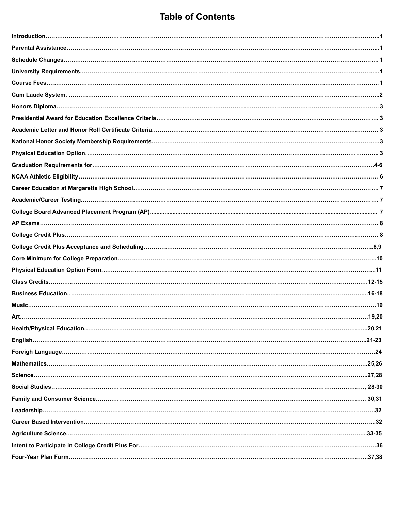# **Table of Contents**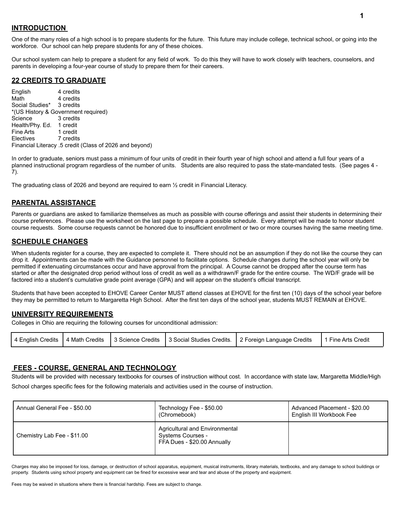#### **INTRODUCTION**

One of the many roles of a high school is to prepare students for the future. This future may include college, technical school, or going into the workforce. Our school can help prepare students for any of these choices.

Our school system can help to prepare a student for any field of work. To do this they will have to work closely with teachers, counselors, and parents in developing a four-year course of study to prepare them for their careers.

## **22 CREDITS TO GRADUATE**

English 4 credits Math 4 credits Social Studies\* 3 credits \*(US History & Government required) Science 3 credits Health/Phy. Ed. 1 credit<br>Fine Arts 1 credit Fine Arts Electives 7 credits Financial Literacy .5 credit (Class of 2026 and beyond)

In order to graduate, seniors must pass a minimum of four units of credit in their fourth year of high school and attend a full four years of a planned instructional program regardless of the number of units. Students are also required to pass the state-mandated tests. (See pages 4 - 7).

The graduating class of 2026 and beyond are required to earn ½ credit in Financial Literacy.

# **PARENTAL ASSISTANCE**

Parents or guardians are asked to familiarize themselves as much as possible with course offerings and assist their students in determining their course preferences. Please use the worksheet on the last page to prepare a possible schedule. Every attempt will be made to honor student course requests. Some course requests cannot be honored due to insufficient enrollment or two or more courses having the same meeting time.

#### **SCHEDULE CHANGES**

When students register for a course, they are expected to complete it. There should not be an assumption if they do not like the course they can drop it. Appointments can be made with the Guidance personnel to facilitate options. Schedule changes during the school year will only be permitted if extenuating circumstances occur and have approval from the principal. A Course cannot be dropped after the course term has started or after the designated drop period without loss of credit as well as a withdrawn/F grade for the entire course. The WD/F grade will be factored into a student's cumulative grade point average (GPA) and will appear on the student's official transcript.

Students that have been accepted to EHOVE Career Center MUST attend classes at EHOVE for the first ten (10) days of the school year before they may be permitted to return to Margaretta High School. After the first ten days of the school year, students MUST REMAIN at EHOVE.

#### **UNIVERSITY REQUIREMENTS**

Colleges in Ohio are requiring the following courses for unconditional admission:

| 4 English Credits   4 Math Credits   3 Science Credits   3 Social Studies Credits.   2 Foreign Language Credits<br>1 Fine Arts Credit |  |
|---------------------------------------------------------------------------------------------------------------------------------------|--|
|---------------------------------------------------------------------------------------------------------------------------------------|--|

#### **FEES - COURSE, GENERAL AND TECHNOLOGY**

Students will be provided with necessary textbooks for courses of instruction without cost. In accordance with state law, Margaretta Middle/High School charges specific fees for the following materials and activities used in the course of instruction.

| Annual General Fee - \$50.00 | Technology Fee - \$50.00<br>(Chromebook)                                           | Advanced Placement - \$20.00<br>English III Workbook Fee |
|------------------------------|------------------------------------------------------------------------------------|----------------------------------------------------------|
| Chemistry Lab Fee - \$11.00  | Agricultural and Environmental<br>Systems Courses -<br>FFA Dues - \$20.00 Annually |                                                          |

Charges may also be imposed for loss, damage, or destruction of school apparatus, equipment, musical instruments, library materials, textbooks, and any damage to school buildings or property. Students using school property and equipment can be fined for excessive wear and tear and abuse of the property and equipment.

Fees may be waived in situations where there is financial hardship. Fees are subject to change.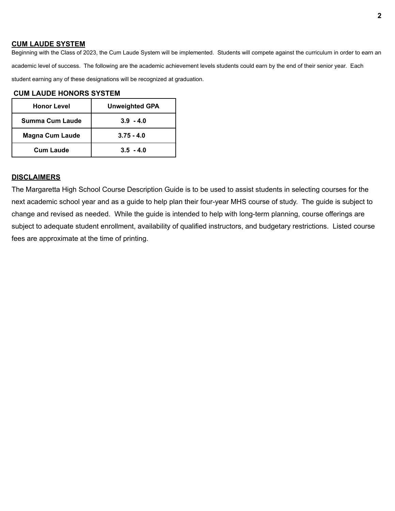#### **CUM LAUDE SYSTEM**

Beginning with the Class of 2023, the Cum Laude System will be implemented. Students will compete against the curriculum in order to earn an academic level of success. The following are the academic achievement levels students could earn by the end of their senior year. Each student earning any of these designations will be recognized at graduation.

#### **CUM LAUDE HONORS SYSTEM**

| <b>Honor Level</b>     | <b>Unweighted GPA</b> |
|------------------------|-----------------------|
| Summa Cum Laude        | $3.9 - 4.0$           |
| <b>Magna Cum Laude</b> | $3.75 - 4.0$          |
| <b>Cum Laude</b>       | $3.5 - 4.0$           |

#### **DISCLAIMERS**

The Margaretta High School Course Description Guide is to be used to assist students in selecting courses for the next academic school year and as a guide to help plan their four-year MHS course of study. The guide is subject to change and revised as needed. While the guide is intended to help with long-term planning, course offerings are subject to adequate student enrollment, availability of qualified instructors, and budgetary restrictions. Listed course fees are approximate at the time of printing.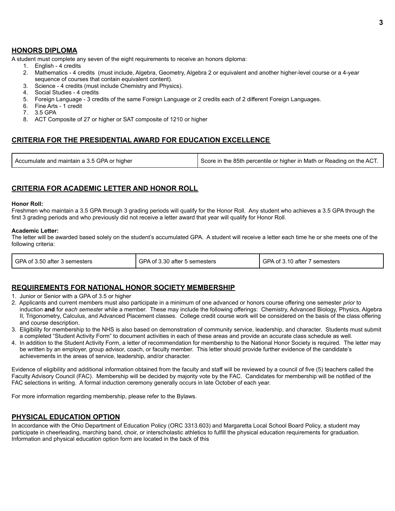#### **HONORS DIPLOMA**

A student must complete any seven of the eight requirements to receive an honors diploma:

- 1. English 4 credits
- 2. Mathematics 4 credits (must include, Algebra, Geometry, Algebra 2 or equivalent and another higher-level course or a 4-year sequence of courses that contain equivalent content).
- 3. Science 4 credits (must include Chemistry and Physics).
- 4. Social Studies 4 credits
- 5. Foreign Language 3 credits of the same Foreign Language or 2 credits each of 2 different Foreign Languages.
- 6. Fine Arts 1 credit
- 7. 3.5 GPA
- 8. ACT Composite of 27 or higher or SAT composite of 1210 or higher

#### **CRITERIA FOR THE PRESIDENTIAL AWARD FOR EDUCATION EXCELLENCE**

| Accumulate and maintain a 3.5 GPA or higher | Score in the 85th percentile or higher in Math or Reading on the ACT. |
|---------------------------------------------|-----------------------------------------------------------------------|
|---------------------------------------------|-----------------------------------------------------------------------|

#### **CRITERIA FOR ACADEMIC LETTER AND HONOR ROLL**

#### **Honor Roll:**

Freshmen who maintain a 3.5 GPA through 3 grading periods will qualify for the Honor Roll. Any student who achieves a 3.5 GPA through the first 3 grading periods and who previously did not receive a letter award that year will qualify for Honor Roll.

#### **Academic Letter:**

The letter will be awarded based solely on the student's accumulated GPA. A student will receive a letter each time he or she meets one of the following criteria:

| I GPA of 3.50 after 3 semesters | GPA of 3.30 after 5 semesters | GPA of 3.10 after 7 semesters |
|---------------------------------|-------------------------------|-------------------------------|
|---------------------------------|-------------------------------|-------------------------------|

#### **REQUIREMENTS FOR NATIONAL HONOR SOCIETY MEMBERSHIP**

1. Junior or Senior with a GPA of 3.5 or higher

- 2. Applicants and current members must also participate in a minimum of one advanced or honors course offering one semester *prior* to induction **and** for *each semeste*r while a member. These may include the following offerings: Chemistry, Advanced Biology, Physics, Algebra II, Trigonometry, Calculus, and Advanced Placement classes. College credit course work will be considered on the basis of the class offering and course description.
- 3. Eligibility for membership to the NHS is also based on demonstration of community service, leadership, and character. Students must submit a completed "Student Activity Form" to document activities in each of these areas and provide an accurate class schedule as well.
- 4. In addition to the Student Activity Form, a letter of recommendation for membership to the National Honor Society is required. The letter may be written by an employer, group advisor, coach, or faculty member. This letter should provide further evidence of the candidate's achievements in the areas of service, leadership, and/or character.

Evidence of eligibility and additional information obtained from the faculty and staff will be reviewed by a council of five (5) teachers called the Faculty Advisory Council (FAC). Membership will be decided by majority vote by the FAC. Candidates for membership will be notified of the FAC selections in writing. A formal induction ceremony generally occurs in late October of each year.

For more information regarding membership, please refer to the Bylaws.

#### **PHYSICAL EDUCATION OPTION**

In accordance with the Ohio Department of Education Policy (ORC 3313.603) and Margaretta Local School Board Policy, a student may participate in cheerleading, marching band, choir, or interscholastic athletics to fulfill the physical education requirements for graduation. Information and physical education option form are located in the back of this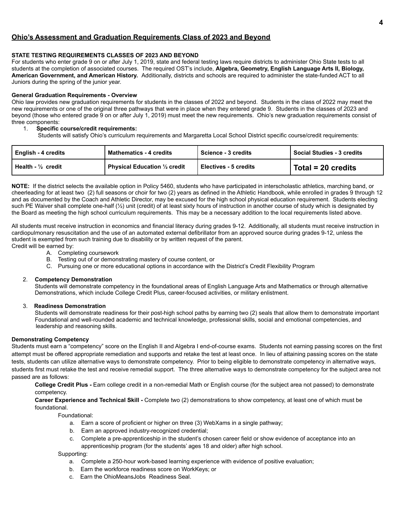#### **Ohio's Assessment and Graduation Requirements Class of 2023 and Beyond**

#### **STATE TESTING REQUIREMENTS CLASSES OF 2023 AND BEYOND**

For students who enter grade 9 on or after July 1, 2019, state and federal testing laws require districts to administer Ohio State tests to all students at the completion of associated courses. The required OST's include, **Algebra, Geometry, English Language Arts II, Biology, American Government, and American History.** Additionally, districts and schools are required to administer the state-funded ACT to all Juniors during the spring of the junior year.

#### **General Graduation Requirements - Overview**

Ohio law provides new graduation requirements for students in the classes of 2022 and beyond. Students in the class of 2022 may meet the new requirements or one of the original three pathways that were in place when they entered grade 9. Students in the classes of 2023 and beyond (those who entered grade 9 on or after July 1, 2019) must meet the new requirements. Ohio's new graduation requirements consist of three components:

#### 1. **Specific course/credit requirements:**

Students will satisfy Ohio's curriculum requirements and Margaretta Local School District specific course/credit requirements:

| English - 4 credits | <b>Mathematics - 4 credits</b><br>l Science - 3 credits |                         | <b>Social Studies - 3 credits</b> |  |
|---------------------|---------------------------------------------------------|-------------------------|-----------------------------------|--|
| l Health - ½ credit | <b>Physical Education 1/2 credit</b>                    | l Electives - 5 credits | Total = 20 credits                |  |

**NOTE:** If the district selects the available option in Policy 5460, students who have participated in interscholastic athletics, marching band, or cheerleading for at least two (2) full seasons or choir for two (2) years as defined in the Athletic Handbook, while enrolled in grades 9 through 12 and as documented by the Coach and Athletic Director, may be excused for the high school physical education requirement. Students electing such PE Waiver shall complete one-half (½) unit (credit) of at least sixty hours of instruction in another course of study which is designated by the Board as meeting the high school curriculum requirements. This may be a necessary addition to the local requirements listed above.

All students must receive instruction in economics and financial literacy during grades 9-12. Additionally, all students must receive instruction in cardiopulmonary resuscitation and the use of an automated external defibrillator from an approved source during grades 9-12, unless the student is exempted from such training due to disability or by written request of the parent. Credit will be earned by:

- A. Completing coursework
- B. Testing out of or demonstrating mastery of course content, or
- C. Pursuing one or more educational options in accordance with the District's Credit Flexibility Program

#### 2. **Competency Demonstration**

Students will demonstrate competency in the foundational areas of English Language Arts and Mathematics or through alternative Demonstrations, which include College Credit Plus, career-focused activities, or military enlistment.

#### 3. **Readiness Demonstration**

Students will demonstrate readiness for their post-high school paths by earning two (2) seals that allow them to demonstrate important Foundational and well-rounded academic and technical knowledge, professional skills, social and emotional competencies, and leadership and reasoning skills.

#### **Demonstrating Competency**

Students must earn a "competency" score on the English II and Algebra I end-of-course exams. Students not earning passing scores on the first attempt must be offered appropriate remediation and supports and retake the test at least once. In lieu of attaining passing scores on the state tests, students can utilize alternative ways to demonstrate competency. Prior to being eligible to demonstrate competency in alternative ways, students first must retake the test and receive remedial support. The three alternative ways to demonstrate competency for the subject area not passed are as follows:

**College Credit Plus -** Earn college credit in a non-remedial Math or English course (for the subject area not passed) to demonstrate competency.

**Career Experience and Technical Skill -** Complete two (2) demonstrations to show competency, at least one of which must be foundational.

Foundational:

- a. Earn a score of proficient or higher on three (3) WebXams in a single pathway;
- b. Earn an approved industry-recognized credential;
- c. Complete a pre-apprenticeship in the student's chosen career field or show evidence of acceptance into an apprenticeship program (for the students' ages 18 and older) after high school.

Supporting:

- a. Complete a 250-hour work-based learning experience with evidence of positive evaluation;
- b. Earn the workforce readiness score on WorkKeys; or
- c. Earn the OhioMeansJobs Readiness Seal.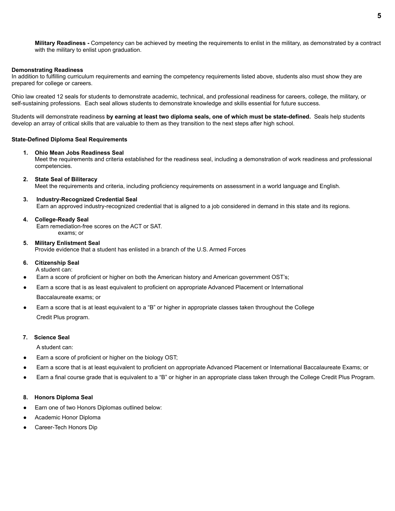**Military Readiness -** Competency can be achieved by meeting the requirements to enlist in the military, as demonstrated by a contract with the military to enlist upon graduation.

#### **Demonstrating Readiness**

In addition to fulfilling curriculum requirements and earning the competency requirements listed above, students also must show they are prepared for college or careers.

Ohio law created 12 seals for students to demonstrate academic, technical, and professional readiness for careers, college, the military, or self-sustaining professions. Each seal allows students to demonstrate knowledge and skills essential for future success.

Students will demonstrate readiness **by earning at least two diploma seals, one of which must be state-defined.** Seals help students develop an array of critical skills that are valuable to them as they transition to the next steps after high school.

#### **State-Defined Diploma Seal Requirements**

#### **1. Ohio Mean Jobs Readiness Seal**

Meet the requirements and criteria established for the readiness seal, including a demonstration of work readiness and professional competencies.

#### **2. State Seal of Biliteracy**

Meet the requirements and criteria, including proficiency requirements on assessment in a world language and English.

#### **3. Industry-Recognized Credential Seal**

Earn an approved industry-recognized credential that is aligned to a job considered in demand in this state and its regions.

#### **4. College-Ready Seal**

Earn remediation-free scores on the ACT or SAT. exams; or

#### **5. Military Enlistment Seal**

Provide evidence that a student has enlisted in a branch of the U.S. Armed Forces

#### **6. Citizenship Seal**

A student can:

- Earn a score of proficient or higher on both the American history and American government OST's;
- Earn a score that is as least equivalent to proficient on appropriate Advanced Placement or International

Baccalaureate exams; or

Earn a score that is at least equivalent to a "B" or higher in appropriate classes taken throughout the College Credit Plus program.

#### **7. Science Seal**

A student can:

- Earn a score of proficient or higher on the biology OST;
- Earn a score that is at least equivalent to proficient on appropriate Advanced Placement or International Baccalaureate Exams; or
- Earn a final course grade that is equivalent to a "B" or higher in an appropriate class taken through the College Credit Plus Program.

#### **8. Honors Diploma Seal**

- Earn one of two Honors Diplomas outlined below:
- Academic Honor Diploma
- Career-Tech Honors Dip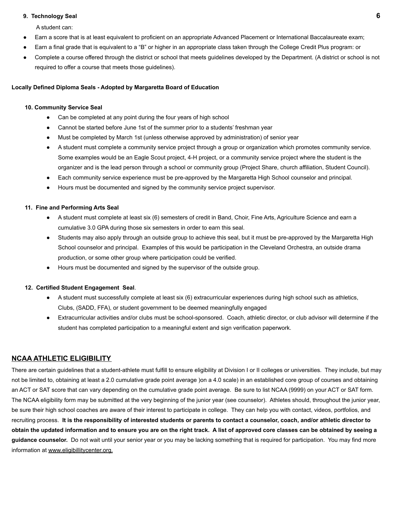#### **9. Technology Seal 6**

A student can:

- Earn a score that is at least equivalent to proficient on an appropriate Advanced Placement or International Baccalaureate exam;
- Earn a final grade that is equivalent to a "B" or higher in an appropriate class taken through the College Credit Plus program: or
- Complete a course offered through the district or school that meets guidelines developed by the Department. (A district or school is not required to offer a course that meets those guidelines).

#### **Locally Defined Diploma Seals - Adopted by Margaretta Board of Education**

#### **10. Community Service Seal**

- Can be completed at any point during the four years of high school
- **●** Cannot be started before June 1st of the summer prior to a students' freshman year
- **●** Must be completed by March 1st (unless otherwise approved by administration) of senior year
- **●** A student must complete a community service project through a group or organization which promotes community service. Some examples would be an Eagle Scout project, 4-H project, or a community service project where the student is the organizer and is the lead person through a school or community group (Project Share, church affiliation, Student Council).
- Each community service experience must be pre-approved by the Margaretta High School counselor and principal.
- Hours must be documented and signed by the community service project supervisor.

#### **11. Fine and Performing Arts Seal**

- **●** A student must complete at least six (6) semesters of credit in Band, Choir, Fine Arts, Agriculture Science and earn a cumulative 3.0 GPA during those six semesters in order to earn this seal.
- **●** Students may also apply through an outside group to achieve this seal, but it must be pre-approved by the Margaretta High School counselor and principal. Examples of this would be participation in the Cleveland Orchestra, an outside drama production, or some other group where participation could be verified.
- **●** Hours must be documented and signed by the supervisor of the outside group.

#### **12. Certified Student Engagement Seal**.

- **●** A student must successfully complete at least six (6) extracurricular experiences during high school such as athletics, Clubs, (SADD, FFA), or student government to be deemed meaningfully engaged
- **●** Extracurricular activities and/or clubs must be school-sponsored. Coach, athletic director, or club advisor will determine if the student has completed participation to a meaningful extent and sign verification paperwork.

#### **NCAA ATHLETIC ELIGIBILITY**

There are certain guidelines that a student-athlete must fulfill to ensure eligibility at Division I or II colleges or universities. They include, but may not be limited to, obtaining at least a 2.0 cumulative grade point average )on a 4.0 scale) in an established core group of courses and obtaining an ACT or SAT score that can vary depending on the cumulative grade point average. Be sure to list NCAA (9999) on your ACT or SAT form. The NCAA eligibility form may be submitted at the very beginning of the junior year (see counselor). Athletes should, throughout the junior year, be sure their high school coaches are aware of their interest to participate in college. They can help you with contact, videos, portfolios, and recruiting process. **It is the responsibility of interested students or parents to contact a counselor, coach, and/or athletic director to obtain the updated information and to ensure you are on the right track. A list of approved core classes can be obtained by seeing a guidance counselor.** Do not wait until your senior year or you may be lacking something that is required for participation. You may find more information at www.eligibillitycenter.org.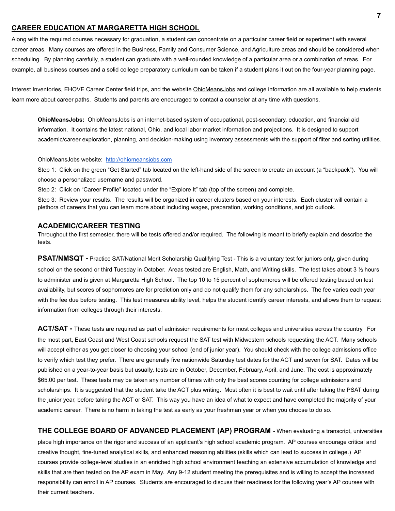#### **CAREER EDUCATION AT MARGARETTA HIGH SCHOOL**

Along with the required courses necessary for graduation, a student can concentrate on a particular career field or experiment with several career areas. Many courses are offered in the Business, Family and Consumer Science, and Agriculture areas and should be considered when scheduling. By planning carefully, a student can graduate with a well-rounded knowledge of a particular area or a combination of areas. For example, all business courses and a solid college preparatory curriculum can be taken if a student plans it out on the four-year planning page.

Interest Inventories, EHOVE Career Center field trips, and the website OhioMeansJobs and college information are all available to help students learn more about career paths. Students and parents are encouraged to contact a counselor at any time with questions.

**OhioMeansJobs:** OhioMeansJobs is an internet-based system of occupational, post-secondary, education, and financial aid information. It contains the latest national, Ohio, and local labor market information and projections. It is designed to support academic/career exploration, planning, and decision-making using inventory assessments with the support of filter and sorting utilities.

OhioMeansJobs website: <http://ohiomeansjobs.com>

Step 1: Click on the green "Get Started" tab located on the left-hand side of the screen to create an account (a "backpack"). You will choose a personalized username and password.

Step 2: Click on "Career Profile" located under the "Explore It" tab (top of the screen) and complete.

Step 3: Review your results. The results will be organized in career clusters based on your interests. Each cluster will contain a plethora of careers that you can learn more about including wages, preparation, working conditions, and job outlook.

#### **ACADEMIC/CAREER TESTING**

Throughout the first semester, there will be tests offered and/or required. The following is meant to briefly explain and describe the tests.

**PSAT/NMSQT -** Practice SAT/National Merit Scholarship Qualifying Test - This is a voluntary test for juniors only, given during school on the second or third Tuesday in October. Areas tested are English, Math, and Writing skills. The test takes about 3 1/2 hours to administer and is given at Margaretta High School. The top 10 to 15 percent of sophomores will be offered testing based on test availability, but scores of sophomores are for prediction only and do not qualify them for any scholarships. The fee varies each year with the fee due before testing. This test measures ability level, helps the student identify career interests, and allows them to request information from colleges through their interests.

**ACT/SAT -** These tests are required as part of admission requirements for most colleges and universities across the country. For the most part, East Coast and West Coast schools request the SAT test with Midwestern schools requesting the ACT. Many schools will accept either as you get closer to choosing your school (end of junior year). You should check with the college admissions office to verify which test they prefer. There are generally five nationwide Saturday test dates for the ACT and seven for SAT. Dates will be published on a year-to-year basis but usually, tests are in October, December, February, April, and June. The cost is approximately \$65.00 per test. These tests may be taken any number of times with only the best scores counting for college admissions and scholarships. It is suggested that the student take the ACT plus writing. Most often it is best to wait until after taking the PSAT during the junior year, before taking the ACT or SAT. This way you have an idea of what to expect and have completed the majority of your academic career. There is no harm in taking the test as early as your freshman year or when you choose to do so.

**THE COLLEGE BOARD OF ADVANCED PLACEMENT (AP) PROGRAM** - When evaluating a transcript, universities place high importance on the rigor and success of an applicant's high school academic program. AP courses encourage critical and creative thought, fine-tuned analytical skills, and enhanced reasoning abilities (skills which can lead to success in college.) AP courses provide college-level studies in an enriched high school environment teaching an extensive accumulation of knowledge and skills that are then tested on the AP exam in May. Any 9-12 student meeting the prerequisites and is willing to accept the increased responsibility can enroll in AP courses. Students are encouraged to discuss their readiness for the following year's AP courses with their current teachers.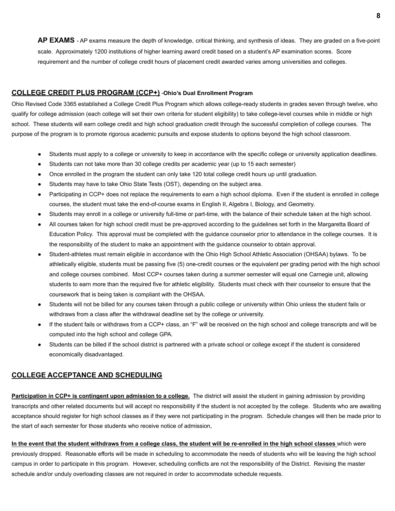**AP EXAMS** - AP exams measure the depth of knowledge, critical thinking, and synthesis of ideas. They are graded on a five-point scale. Approximately 1200 institutions of higher learning award credit based on a student's AP examination scores. Score requirement and the number of college credit hours of placement credit awarded varies among universities and colleges.

#### **COLLEGE CREDIT PLUS PROGRAM (CCP+)** -**Ohio's Dual Enrollment Program**

Ohio Revised Code 3365 established a College Credit Plus Program which allows college-ready students in grades seven through twelve, who qualify for college admission (each college will set their own criteria for student eligibility) to take college-level courses while in middle or high school. These students will earn college credit and high school graduation credit through the successful completion of college courses. The purpose of the program is to promote rigorous academic pursuits and expose students to options beyond the high school classroom.

- Students must apply to a college or university to keep in accordance with the specific college or university application deadlines.
- Students can not take more than 30 college credits per academic year (up to 15 each semester)
- Once enrolled in the program the student can only take 120 total college credit hours up until graduation.
- Students may have to take Ohio State Tests (OST), depending on the subject area.
- Participating in CCP+ does not replace the requirements to earn a high school diploma. Even if the student is enrolled in college courses, the student must take the end-of-course exams in English II, Algebra I, Biology, and Geometry.
- Students may enroll in a college or university full-time or part-time, with the balance of their schedule taken at the high school.
- All courses taken for high school credit must be pre-approved according to the guidelines set forth in the Margaretta Board of Education Policy. This approval must be completed with the guidance counselor prior to attendance in the college courses. It is the responsibility of the student to make an appointment with the guidance counselor to obtain approval.
- Student-athletes must remain eligible in accordance with the Ohio High School Athletic Association (OHSAA) bylaws. To be athletically eligible, students must be passing five (5) one-credit courses or the equivalent per grading period with the high school and college courses combined. Most CCP+ courses taken during a summer semester will equal one Carnegie unit, allowing students to earn more than the required five for athletic eligibility. Students must check with their counselor to ensure that the coursework that is being taken is compliant with the OHSAA.
- Students will not be billed for any courses taken through a public college or university within Ohio unless the student fails or withdraws from a class after the withdrawal deadline set by the college or university.
- If the student fails or withdraws from a CCP+ class, an "F" will be received on the high school and college transcripts and will be computed into the high school and college GPA.
- Students can be billed if the school district is partnered with a private school or college except if the student is considered economically disadvantaged.

#### **COLLEGE ACCEPTANCE AND SCHEDULING**

**Participation in CCP+ is contingent upon admission to a college.** The district will assist the student in gaining admission by providing transcripts and other related documents but will accept no responsibility if the student is not accepted by the college. Students who are awaiting acceptance should register for high school classes as if they were not participating in the program. Schedule changes will then be made prior to the start of each semester for those students who receive notice of admission,

**In the event that the student withdraws from a college class, the student will be re-enrolled in the high school classes** which were previously dropped. Reasonable efforts will be made in scheduling to accommodate the needs of students who will be leaving the high school campus in order to participate in this program. However, scheduling conflicts are not the responsibility of the District. Revising the master schedule and/or unduly overloading classes are not required in order to accommodate schedule requests.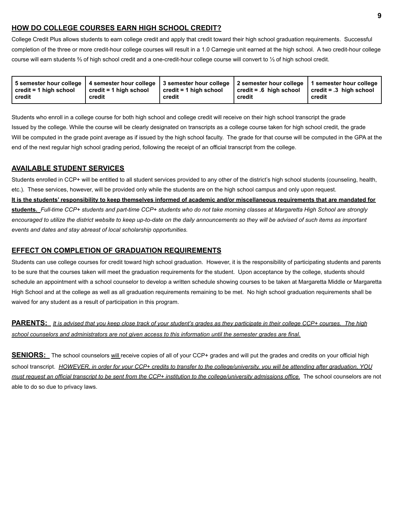## **HOW DO COLLEGE COURSES EARN HIGH SCHOOL CREDIT?**

College Credit Plus allows students to earn college credit and apply that credit toward their high school graduation requirements. Successful completion of the three or more credit-hour college courses will result in a 1.0 Carnegie unit earned at the high school. A two credit-hour college course will earn students ⅔ of high school credit and a one-credit-hour college course will convert to ⅓ of high school credit.

| 5 semester hour college   4 semester hour college   3 semester hour college   2 semester hour college   1 semester hour college<br>$\cdot$ credit = 1 high school<br>credit = 1 high school<br>credit<br>credit | $\vert$ credit = 1 high school<br>credit | $\vert$ credit = .6 high school<br>credit | $\vert$ credit = .3 $\vert$ high school<br>credit |
|-----------------------------------------------------------------------------------------------------------------------------------------------------------------------------------------------------------------|------------------------------------------|-------------------------------------------|---------------------------------------------------|
|-----------------------------------------------------------------------------------------------------------------------------------------------------------------------------------------------------------------|------------------------------------------|-------------------------------------------|---------------------------------------------------|

Students who enroll in a college course for both high school and college credit will receive on their high school transcript the grade Issued by the college. While the course will be clearly designated on transcripts as a college course taken for high school credit, the grade Will be computed in the grade point average as if issued by the high school faculty. The grade for that course will be computed in the GPA at the end of the next regular high school grading period, following the receipt of an official transcript from the college.

#### **AVAILABLE STUDENT SERVICES**

Students enrolled in CCP+ will be entitled to all student services provided to any other of the district's high school students (counseling, health, etc.). These services, however, will be provided only while the students are on the high school campus and only upon request.

**It is the students' responsibility to keep themselves informed of academic and/or miscellaneous requirements that are mandated for students.** *Full-time CCP+ students and part-time CCP+ students who do not take morning classes at Margaretta High School are strongly encouraged to utilize the district website to keep up-to-date on the daily announcements so they will be advised of such items as important events and dates and stay abreast of local scholarship opportunities.*

#### **EFFECT ON COMPLETION OF GRADUATION REQUIREMENTS**

Students can use college courses for credit toward high school graduation. However, it is the responsibility of participating students and parents to be sure that the courses taken will meet the graduation requirements for the student. Upon acceptance by the college, students should schedule an appointment with a school counselor to develop a written schedule showing courses to be taken at Margaretta Middle or Margaretta High School and at the college as well as all graduation requirements remaining to be met. No high school graduation requirements shall be waived for any student as a result of participation in this program.

**PARENTS:** *It is advised that you keep close track of your student's grades as they participate in their college CCP+ courses. The high school counselors and administrators are not given access to this information until the semester grades are final.*

**SENIORS:** The school counselors will receive copies of all of your CCP+ grades and will put the grades and credits on your official high school transcript. *HOWEVER, in order for your CCP+ credits to transfer to the college/university, you will be attending after graduation, YOU must request an official transcript to be sent from the CCP+ institution to the college/university admissions office.* The school counselors are not able to do so due to privacy laws.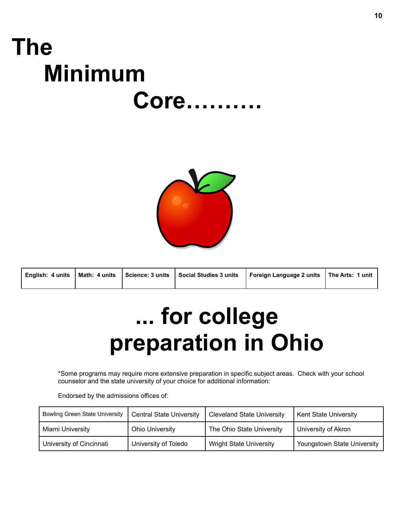# **The Minimum Core……….**



| English: 4 units | l Math: 4 units | Science: 3 units   Social Studies 3 units | Foreign Language 2 units   The Arts: 1 unit |  |
|------------------|-----------------|-------------------------------------------|---------------------------------------------|--|
|                  |                 |                                           |                                             |  |

# **... for college preparation in Ohio**

\*Some programs may require more extensive preparation in specific subject areas. Check with your school counselor and the state university of your choice for additional information:

Endorsed by the admissions offices of:

| <b>Bowling Green State University</b> | <b>Central State University</b> | <b>Cleveland State University</b> | Kent State University       |
|---------------------------------------|---------------------------------|-----------------------------------|-----------------------------|
| Miami University                      | <b>Ohio University</b>          | The Ohio State University         | University of Akron         |
| University of Cincinnati              | University of Toledo            | <b>Wright State University</b>    | Youngstown State University |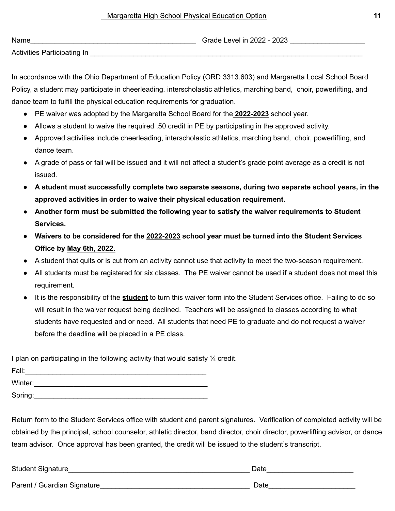| Name                        | Grade Level in 2022 - 2023 |
|-----------------------------|----------------------------|
| Activities Participating In |                            |

In accordance with the Ohio Department of Education Policy (ORD 3313.603) and Margaretta Local School Board Policy, a student may participate in cheerleading, interscholastic athletics, marching band, choir, powerlifting, and dance team to fulfill the physical education requirements for graduation.

- PE waiver was adopted by the Margaretta School Board for the **2022-2023** school year.
- Allows a student to waive the required .50 credit in PE by participating in the approved activity.
- Approved activities include cheerleading, interscholastic athletics, marching band, choir, powerlifting, and dance team.
- A grade of pass or fail will be issued and it will not affect a student's grade point average as a credit is not issued.
- **● A student must successfully complete two separate seasons, during two separate school years, in the approved activities in order to waive their physical education requirement.**
- **● Another form must be submitted the following year to satisfy the waiver requirements to Student Services.**
- **● Waivers to be considered for the 2022-2023 school year must be turned into the Student Services Office by May 6th, 2022.**
- A student that quits or is cut from an activity cannot use that activity to meet the two-season requirement.
- All students must be registered for six classes. The PE waiver cannot be used if a student does not meet this requirement.
- It is the responsibility of the **student** to turn this waiver form into the Student Services office. Failing to do so will result in the waiver request being declined. Teachers will be assigned to classes according to what students have requested and or need. All students that need PE to graduate and do not request a waiver before the deadline will be placed in a PE class.

I plan on participating in the following activity that would satisfy 1/4 credit.

| Fall:   |  |  |  |
|---------|--|--|--|
| Winter: |  |  |  |
| Spring: |  |  |  |

Return form to the Student Services office with student and parent signatures. Verification of completed activity will be obtained by the principal, school counselor, athletic director, band director, choir director, powerlifting advisor, or dance team advisor. Once approval has been granted, the credit will be issued to the student's transcript.

Student Signature **Example 2** and the student Signature of the student student Signature of the student student of the student student student student student student student student student student student student student

Parent / Guardian Signature\_\_\_\_\_\_\_\_\_\_\_\_\_\_\_\_\_\_\_\_\_\_\_\_\_\_\_\_\_\_\_\_\_\_\_\_\_\_ Date\_\_\_\_\_\_\_\_\_\_\_\_\_\_\_\_\_\_\_\_\_\_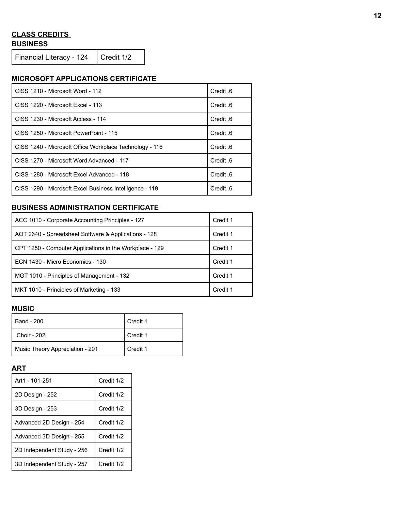#### **CLASS CREDITS BUSINESS**

Financial Literacy - 124 | Credit 1/2

# **MICROSOFT APPLICATIONS CERTIFICATE**

| CISS 1210 - Microsoft Word - 112                        | Credit 6 |
|---------------------------------------------------------|----------|
| CISS 1220 - Microsoft Excel - 113                       | Credit 6 |
| CISS 1230 - Microsoft Access - 114                      | Credit 6 |
| CISS 1250 - Microsoft PowerPoint - 115                  | Credit 6 |
| CISS 1240 - Microsoft Office Workplace Technology - 116 | Credit 6 |
| CISS 1270 - Microsoft Word Advanced - 117               | Credit 6 |
| CISS 1280 - Microsoft Excel Advanced - 118              | Credit 6 |
| CISS 1290 - Microsoft Excel Business Intelligence - 119 | Credit 6 |

# **BUSINESS ADMINISTRATION CERTIFICATE**

| ACC 1010 - Corporate Accounting Principles - 127        | Credit 1 |
|---------------------------------------------------------|----------|
| AOT 2640 - Spreadsheet Software & Applications - 128    | Credit 1 |
| CPT 1250 - Computer Applications in the Workplace - 129 | Credit 1 |
| ECN 1430 - Micro Economics - 130                        | Credit 1 |
| MGT 1010 - Principles of Management - 132               | Credit 1 |
| MKT 1010 - Principles of Marketing - 133                | Credit 1 |

#### **MUSIC**

| l Band - 200                    | Credit 1 |
|---------------------------------|----------|
| Choir - 202                     | Credit 1 |
| Music Theory Appreciation - 201 | Credit 1 |

#### **ART**

| Art1 - 101-251             | Credit 1/2 |
|----------------------------|------------|
| 2D Design - 252            | Credit 1/2 |
| 3D Design - 253            | Credit 1/2 |
| Advanced 2D Design - 254   | Credit 1/2 |
| Advanced 3D Design - 255   | Credit 1/2 |
| 2D Independent Study - 256 | Credit 1/2 |
| 3D Independent Study - 257 | Credit 1/2 |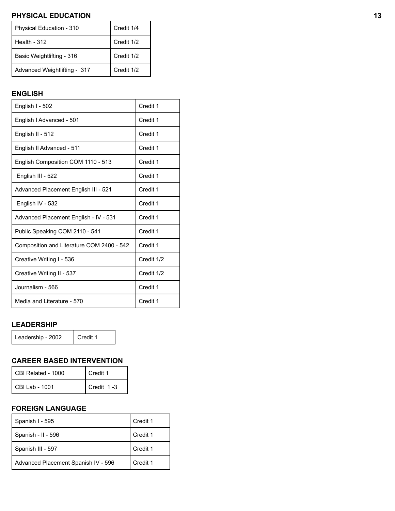# **PHYSICAL EDUCATION 13**

| Physical Education - 310     | Credit 1/4 |
|------------------------------|------------|
| Health - $312$               | Credit 1/2 |
| Basic Weightlifting - 316    | Credit 1/2 |
| Advanced Weightlifting - 317 | Credit 1/2 |

# **ENGLISH**

| English I - 502                           | Credit 1   |
|-------------------------------------------|------------|
| English I Advanced - 501                  | Credit 1   |
| English II - 512                          | Credit 1   |
| English II Advanced - 511                 | Credit 1   |
| English Composition COM 1110 - 513        | Credit 1   |
| English III - 522                         | Credit 1   |
| Advanced Placement English III - 521      | Credit 1   |
| English IV - 532                          | Credit 1   |
| Advanced Placement English - IV - 531     | Credit 1   |
| Public Speaking COM 2110 - 541            | Credit 1   |
| Composition and Literature COM 2400 - 542 | Credit 1   |
| Creative Writing I - 536                  | Credit 1/2 |
| Creative Writing II - 537                 | Credit 1/2 |
| Journalism - 566                          | Credit 1   |
| Media and Literature - 570                | Credit 1   |

## **LEADERSHIP**

Leadership - 2002 | Credit 1

# **CAREER BASED INTERVENTION**

| CBI Related - 1000 | Credit 1   |
|--------------------|------------|
| CBI Lab - 1001     | Credit 1-3 |

# **FOREIGN LANGUAGE**

| Spanish I - 595                     | Credit 1 |
|-------------------------------------|----------|
| Spanish - II - 596                  | Credit 1 |
| Spanish III - 597                   | Credit 1 |
| Advanced Placement Spanish IV - 596 | Credit 1 |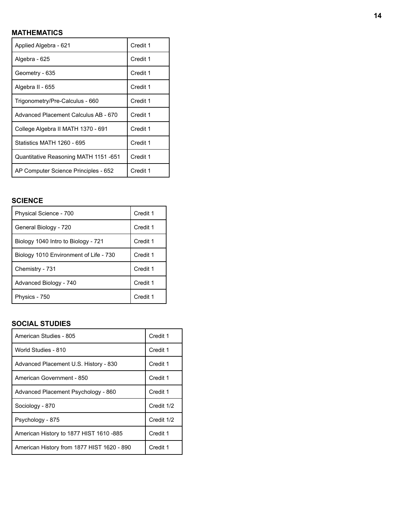# **MATHEMATICS**

| Applied Algebra - 621                        | Credit 1 |
|----------------------------------------------|----------|
| Algebra - 625                                | Credit 1 |
| Geometry - 635                               | Credit 1 |
| Algebra II - 655                             | Credit 1 |
| Trigonometry/Pre-Calculus - 660              | Credit 1 |
| Advanced Placement Calculus AB - 670         | Credit 1 |
| College Algebra II MATH 1370 - 691           | Credit 1 |
| Statistics MATH 1260 - 695                   | Credit 1 |
| <b>Quantitative Reasoning MATH 1151 -651</b> | Credit 1 |
| AP Computer Science Principles - 652         | Credit 1 |

#### **SCIENCE**

| Physical Science - 700                 | Credit 1 |
|----------------------------------------|----------|
| General Biology - 720                  | Credit 1 |
| Biology 1040 Intro to Biology - 721    | Credit 1 |
| Biology 1010 Environment of Life - 730 | Credit 1 |
| Chemistry - 731                        | Credit 1 |
| Advanced Biology - 740                 | Credit 1 |
| Physics - 750                          | Credit 1 |

#### **SOCIAL STUDIES**

| American Studies - 805                     | Credit 1   |
|--------------------------------------------|------------|
| World Studies - 810                        | Credit 1   |
| Advanced Placement U.S. History - 830      | Credit 1   |
| American Government - 850                  | Credit 1   |
| Advanced Placement Psychology - 860        | Credit 1   |
| Sociology - 870                            | Credit 1/2 |
| Psychology - 875                           | Credit 1/2 |
| American History to 1877 HIST 1610 -885    | Credit 1   |
| American History from 1877 HIST 1620 - 890 | Credit 1   |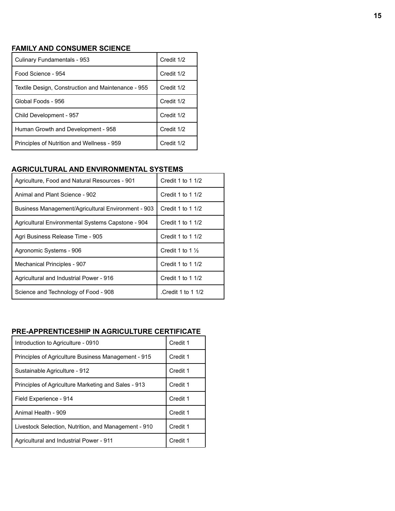#### **FAMILY AND CONSUMER SCIENCE**

| Culinary Fundamentals - 953                        | Credit 1/2 |
|----------------------------------------------------|------------|
| Food Science - 954                                 | Credit 1/2 |
| Textile Design, Construction and Maintenance - 955 | Credit 1/2 |
| Global Foods - 956                                 | Credit 1/2 |
| Child Development - 957                            | Credit 1/2 |
| Human Growth and Development - 958                 | Credit 1/2 |
| Principles of Nutrition and Wellness - 959         | Credit 1/2 |

# **AGRICULTURAL AND ENVIRONMENTAL SYSTEMS**

| Agriculture, Food and Natural Resources - 901      | Credit 1 to 1 1/2           |
|----------------------------------------------------|-----------------------------|
| Animal and Plant Science - 902                     | Credit 1 to 1 1/2           |
| Business Management/Agricultural Environment - 903 | Credit 1 to 1 1/2           |
| Agricultural Environmental Systems Capstone - 904  | Credit 1 to 1 1/2           |
| Agri Business Release Time - 905                   | Credit 1 to 1 1/2           |
| Agronomic Systems - 906                            | Credit 1 to 1 $\frac{1}{2}$ |
| Mechanical Principles - 907                        | Credit 1 to 1 1/2           |
| Agricultural and Industrial Power - 916            | Credit 1 to 1 $1/2$         |
| Science and Technology of Food - 908               | Credit 1 to 1 1/2           |

# **PRE-APPRENTICESHIP IN AGRICULTURE CERTIFICATE**

| Introduction to Agriculture - 0910                   | Credit 1 |
|------------------------------------------------------|----------|
| Principles of Agriculture Business Management - 915  | Credit 1 |
| Sustainable Agriculture - 912                        | Credit 1 |
| Principles of Agriculture Marketing and Sales - 913  | Credit 1 |
| Field Experience - 914                               | Credit 1 |
| Animal Health - 909                                  | Credit 1 |
| Livestock Selection, Nutrition, and Management - 910 | Credit 1 |
| Agricultural and Industrial Power - 911              | Credit 1 |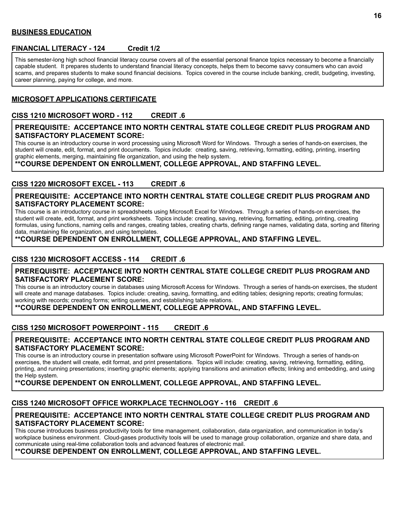#### **BUSINESS EDUCATION**

#### **FINANCIAL LITERACY - 124 Credit 1/2**

This semester-long high school financial literacy course covers all of the essential personal finance topics necessary to become a financially capable student. It prepares students to understand financial literacy concepts, helps them to become savvy consumers who can avoid scams, and prepares students to make sound financial decisions. Topics covered in the course include banking, credit, budgeting, investing, career planning, paying for college, and more.

#### **MICROSOFT APPLICATIONS CERTIFICATE**

#### **CISS 1210 MICROSOFT WORD - 112 CREDIT .6**

#### **PREREQUISITE: ACCEPTANCE INTO NORTH CENTRAL STATE COLLEGE CREDIT PLUS PROGRAM AND SATISFACTORY PLACEMENT SCORE:**

This course is an introductory course in word processing using Microsoft Word for Windows. Through a series of hands-on exercises, the student will create, edit, format, and print documents. Topics include: creating, saving, retrieving, formatting, editing, printing, inserting graphic elements, merging, maintaining file organization, and using the help system.

**\*\*COURSE DEPENDENT ON ENROLLMENT, COLLEGE APPROVAL, AND STAFFING LEVEL.**

#### **CISS 1220 MICROSOFT EXCEL - 113 CREDIT .6**

#### **PREREQUISITE: ACCEPTANCE INTO NORTH CENTRAL STATE COLLEGE CREDIT PLUS PROGRAM AND SATISFACTORY PLACEMENT SCORE:**

This course is an introductory course in spreadsheets using Microsoft Excel for Windows. Through a series of hands-on exercises, the student will create, edit, format, and print worksheets. Topics include: creating, saving, retrieving, formatting, editing, printing, creating formulas, using functions, naming cells and ranges, creating tables, creating charts, defining range names, validating data, sorting and filtering data, maintaining file organization, and using templates.

#### **\*\*COURSE DEPENDENT ON ENROLLMENT, COLLEGE APPROVAL, AND STAFFING LEVEL.**

#### **CISS 1230 MICROSOFT ACCESS - 114 CREDIT .6**

#### **PREREQUISITE: ACCEPTANCE INTO NORTH CENTRAL STATE COLLEGE CREDIT PLUS PROGRAM AND SATISFACTORY PLACEMENT SCORE:**

This course is an introductory course in databases using Microsoft Access for Windows. Through a series of hands-on exercises, the student will create and manage databases. Topics include: creating, saving, formatting, and editing tables; designing reports; creating formulas; working with records; creating forms; writing queries, and establishing table relations.

**\*\*COURSE DEPENDENT ON ENROLLMENT, COLLEGE APPROVAL, AND STAFFING LEVEL.**

#### **CISS 1250 MICROSOFT POWERPOINT - 115 CREDIT .6**

#### **PREREQUISITE: ACCEPTANCE INTO NORTH CENTRAL STATE COLLEGE CREDIT PLUS PROGRAM AND SATISFACTORY PLACEMENT SCORE:**

This course is an introductory course in presentation software using Microsoft PowerPoint for Windows. Through a series of hands-on exercises, the student will create, edit format, and print presentations. Topics will include: creating, saving, retrieving, formatting, editing, printing, and running presentations; inserting graphic elements; applying transitions and animation effects; linking and embedding, and using the Help system.

#### **\*\*COURSE DEPENDENT ON ENROLLMENT, COLLEGE APPROVAL, AND STAFFING LEVEL.**

#### **CISS 1240 MICROSOFT OFFICE WORKPLACE TECHNOLOGY - 116 CREDIT .6**

#### **PREREQUISITE: ACCEPTANCE INTO NORTH CENTRAL STATE COLLEGE CREDIT PLUS PROGRAM AND SATISFACTORY PLACEMENT SCORE:**

This course introduces business productivity tools for time management, collaboration, data organization, and communication in today's workplace business environment. Cloud-gases productivity tools will be used to manage group collaboration, organize and share data, and communicate using real-time collaboration tools and advanced features of electronic mail.

#### **\*\*COURSE DEPENDENT ON ENROLLMENT, COLLEGE APPROVAL, AND STAFFING LEVEL.**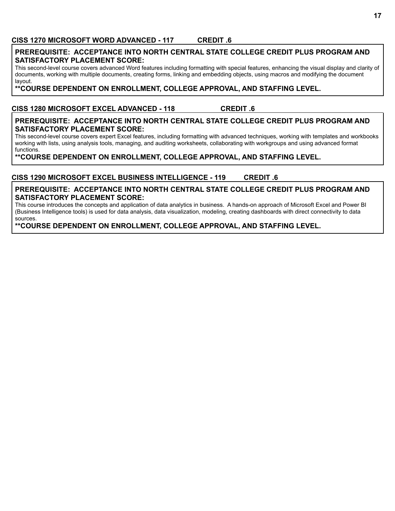#### **CISS 1270 MICROSOFT WORD ADVANCED - 117 CREDIT .6**

#### **PREREQUISITE: ACCEPTANCE INTO NORTH CENTRAL STATE COLLEGE CREDIT PLUS PROGRAM AND SATISFACTORY PLACEMENT SCORE:**

This second-level course covers advanced Word features including formatting with special features, enhancing the visual display and clarity of documents, working with multiple documents, creating forms, linking and embedding objects, using macros and modifying the document layout.

**\*\*COURSE DEPENDENT ON ENROLLMENT, COLLEGE APPROVAL, AND STAFFING LEVEL.**

#### **CISS 1280 MICROSOFT EXCEL ADVANCED - 118 CREDIT .6**

#### **PREREQUISITE: ACCEPTANCE INTO NORTH CENTRAL STATE COLLEGE CREDIT PLUS PROGRAM AND SATISFACTORY PLACEMENT SCORE:**

This second-level course covers expert Excel features, including formatting with advanced techniques, working with templates and workbooks working with lists, using analysis tools, managing, and auditing worksheets, collaborating with workgroups and using advanced format functions.

**\*\*COURSE DEPENDENT ON ENROLLMENT, COLLEGE APPROVAL, AND STAFFING LEVEL.**

# **CISS 1290 MICROSOFT EXCEL BUSINESS INTELLIGENCE - 119 CREDIT .6**

#### **PREREQUISITE: ACCEPTANCE INTO NORTH CENTRAL STATE COLLEGE CREDIT PLUS PROGRAM AND SATISFACTORY PLACEMENT SCORE:**

This course introduces the concepts and application of data analytics in business. A hands-on approach of Microsoft Excel and Power BI (Business Intelligence tools) is used for data analysis, data visualization, modeling, creating dashboards with direct connectivity to data sources.

## **\*\*COURSE DEPENDENT ON ENROLLMENT, COLLEGE APPROVAL, AND STAFFING LEVEL.**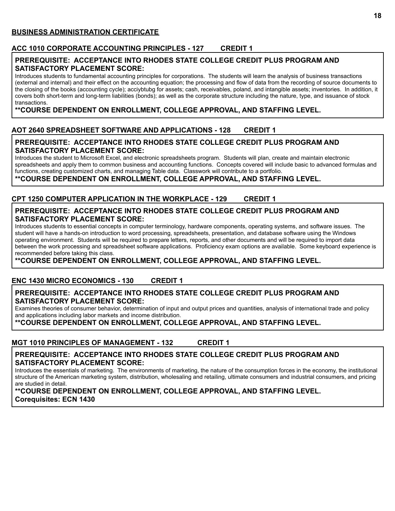#### **ACC 1010 CORPORATE ACCOUNTING PRINCIPLES - 127 CREDIT 1**

#### **PREREQUISITE: ACCEPTANCE INTO RHODES STATE COLLEGE CREDIT PLUS PROGRAM AND SATISFACTORY PLACEMENT SCORE:**

Introduces students to fundamental accounting principles for corporations. The students will learn the analysis of business transactions (external and internal) and their effect on the accounting equation; the processing and flow of data from the recording of source documents to the closing of the books (accounting cycle); acciybtubg for assets; cash, receivables, poland, and intangible assets; inventories. In addition, it covers both short-term and long-term liabilities (bonds); as well as the corporate structure including the nature, type, and issuance of stock transactions.

## **\*\*COURSE DEPENDENT ON ENROLLMENT, COLLEGE APPROVAL, AND STAFFING LEVEL.**

# **AOT 2640 SPREADSHEET SOFTWARE AND APPLICATIONS - 128 CREDIT 1**

#### **PREREQUISITE: ACCEPTANCE INTO RHODES STATE COLLEGE CREDIT PLUS PROGRAM AND SATISFACTORY PLACEMENT SCORE:**

Introduces the student to Microsoft Excel, and electronic spreadsheets program. Students will plan, create and maintain electronic spreadsheets and apply them to common business and accounting functions. Concepts covered will include basic to advanced formulas and functions, creating customized charts, and managing Table data. Classwork will contribute to a portfolio.

**\*\*COURSE DEPENDENT ON ENROLLMENT, COLLEGE APPROVAL, AND STAFFING LEVEL.**

## **CPT 1250 COMPUTER APPLICATION IN THE WORKPLACE - 129 CREDIT 1**

#### **PREREQUISITE: ACCEPTANCE INTO RHODES STATE COLLEGE CREDIT PLUS PROGRAM AND SATISFACTORY PLACEMENT SCORE:**

Introduces students to essential concepts in computer terminology, hardware components, operating systems, and software issues. The student will have a hands-on introduction to word processing, spreadsheets, presentation, and database software using the Windows operating environment. Students will be required to prepare letters, reports, and other documents and will be required to import data between the work processing and spreadsheet software applications. Proficiency exam options are available. Some keyboard experience is recommended before taking this class.

**\*\*COURSE DEPENDENT ON ENROLLMENT, COLLEGE APPROVAL, AND STAFFING LEVEL.**

#### **ENC 1430 MICRO ECONOMICS - 130 CREDIT 1**

#### **PREREQUISITE: ACCEPTANCE INTO RHODES STATE COLLEGE CREDIT PLUS PROGRAM AND SATISFACTORY PLACEMENT SCORE:**

Examines theories of consumer behavior, determination of input and output prices and quantities, analysis of international trade and policy and applications including labor markets and income distribution.

#### **\*\*COURSE DEPENDENT ON ENROLLMENT, COLLEGE APPROVAL, AND STAFFING LEVEL.**

#### **MGT 1010 PRINCIPLES OF MANAGEMENT - 132 CREDIT 1**

#### **PREREQUISITE: ACCEPTANCE INTO RHODES STATE COLLEGE CREDIT PLUS PROGRAM AND SATISFACTORY PLACEMENT SCORE:**

Introduces the essentials of marketing. The environments of marketing, the nature of the consumption forces in the economy, the institutional structure of the American marketing system, distribution, wholesaling and retailing, ultimate consumers and industrial consumers, and pricing are studied in detail.

**\*\*COURSE DEPENDENT ON ENROLLMENT, COLLEGE APPROVAL, AND STAFFING LEVEL. Corequisites: ECN 1430**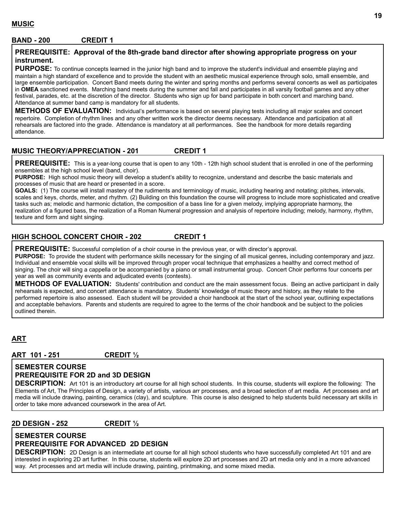#### **MUSIC**

#### **BAND - 200 CREDIT 1**

#### **PREREQUISITE: Approval of the 8th-grade band director after showing appropriate progress on your instrument.**

**PURPOSE:** To continue concepts learned in the junior high band and to improve the student's individual and ensemble playing and maintain a high standard of excellence and to provide the student with an aesthetic musical experience through solo, small ensemble, and large ensemble participation. Concert Band meets during the winter and spring months and performs several concerts as well as participates in **OMEA** sanctioned events. Marching band meets during the summer and fall and participates in all varsity football games and any other festival, parades, etc. at the discretion of the director. Students who sign up for band participate in both concert and marching band. Attendance at summer band camp is mandatory for all students.

**METHODS OF EVALUATION:** Individual's performance is based on several playing tests including all major scales and concert repertoire. Completion of rhythm lines and any other written work the director deems necessary. Attendance and participation at all rehearsals are factored into the grade. Attendance is mandatory at all performances. See the handbook for more details regarding attendance.

#### **MUSIC THEORY/APPRECIATION - 201 CREDIT 1**

**PREREQUISITE:** This is a year-long course that is open to any 10th - 12th high school student that is enrolled in one of the performing ensembles at the high school level (band, choir).

**PURPOSE:** High school music theory will develop a student's ability to recognize, understand and describe the basic materials and processes of music that are heard or presented in a score.

**GOALS:** (1) The course will install mastery of the rudiments and terminology of music, including hearing and notating; pitches, intervals, scales and keys, chords, meter, and rhythm. (2) Building on this foundation the course will progress to include more sophisticated and creative tasks such as; melodic and harmonic dictation, the composition of a bass line for a given melody, implying appropriate harmony, the realization of a figured bass, the realization of a Roman Numeral progression and analysis of repertoire including; melody, harmony, rhythm, texture and form and sight singing.

#### **HIGH SCHOOL CONCERT CHOIR - 202 CREDIT 1**

**PREREQUISITE:** Successful completion of a choir course in the previous year, or with director's approval.

**PURPOSE:** To provide the student with performance skills necessary for the singing of all musical genres, including contemporary and jazz. Individual and ensemble vocal skills will be improved through proper vocal technique that emphasizes a healthy and correct method of singing. The choir will sing a cappella or be accompanied by a piano or small instrumental group. Concert Choir performs four concerts per year as well as community events and adjudicated events (contests).

**METHODS OF EVALUATION:** Students' contribution and conduct are the main assessment focus. Being an active participant in daily rehearsals is expected, and concert attendance is mandatory. Students' knowledge of music theory and history, as they relate to the performed repertoire is also assessed. Each student will be provided a choir handbook at the start of the school year, outlining expectations and acceptable behaviors. Parents and students are required to agree to the terms of the choir handbook and be subject to the policies outlined therein.

# **ART**

**ART 101 - 251 CREDIT ½**

#### **SEMESTER COURSE PREREQUISITE FOR 2D and 3D DESIGN**

**DESCRIPTION:** Art 101 is an introductory art course for all high school students. In this course, students will explore the following: The Elements of Art, The Principles of Design, a variety of artists, various arr processes, and a broad selection of art media. Art processes and art media will include drawing, painting, ceramics (clay), and sculpture. This course is also designed to help students build necessary art skills in order to take more advanced coursework in the area of Art.

#### **2D DESIGN - 252 CREDIT ½**

#### **SEMESTER COURSE PREREQUISITE FOR ADVANCED 2D DESIGN**

**DESCRIPTION:** 2D Design is an intermediate art course for all high school students who have successfully completed Art 101 and are interested in exploring 2D art further. In this course, students will explore 2D art processes and 2D art media only and in a more advanced way. Art processes and art media will include drawing, painting, printmaking, and some mixed media.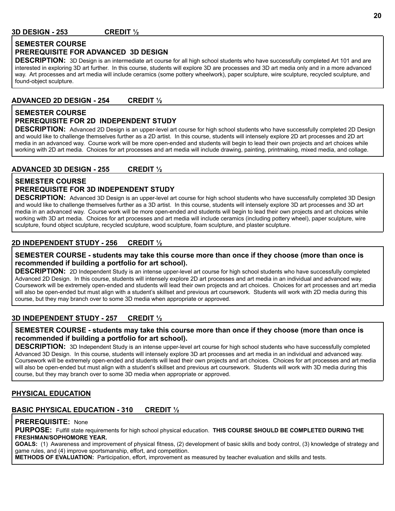#### **SEMESTER COURSE PREREQUISITE FOR ADVANCED 3D DESIGN**

**DESCRIPTION:** 3D Design is an intermediate art course for all high school students who have successfully completed Art 101 and are interested in exploring 3D art further. In this course, students will explore 3D are processes and 3D art media only and in a more advanced way. Art processes and art media will include ceramics (some pottery wheelwork), paper sculpture, wire sculpture, recycled sculpture, and found-object sculpture.

# **ADVANCED 2D DESIGN - 254 CREDIT ½**

# **SEMESTER COURSE**

## **PREREQUISITE FOR 2D INDEPENDENT STUDY**

**DESCRIPTION:** Advanced 2D Design is an upper-level art course for high school students who have successfully completed 2D Design and would like to challenge themselves further as a 2D artist. In this course, students will intensely explore 2D art processes and 2D art media in an advanced way. Course work will be more open-ended and students will begin to lead their own projects and art choices while working with 2D art media. Choices for art processes and art media will include drawing, painting, printmaking, mixed media, and collage.

#### **ADVANCED 3D DESIGN - 255 CREDIT ½**

#### **SEMESTER COURSE PREREQUISITE FOR 3D INDEPENDENT STUDY**

**DESCRIPTION:** Advanced 3D Design is an upper-level art course for high school students who have successfully completed 3D Design and would like to challenge themselves further as a 3D artist. In this course, students will intensely explore 3D art processes and 3D art media in an advanced way. Course work will be more open-ended and students will begin to lead their own projects and art choices while working with 3D art media. Choices for art processes and art media will include ceramics (including pottery wheel), paper sculpture, wire sculpture, found object sculpture, recycled sculpture, wood sculpture, foam sculpture, and plaster sculpture.

#### **2D INDEPENDENT STUDY - 256 CREDIT ½**

#### **SEMESTER COURSE - students may take this course more than once if they choose (more than once is recommended if building a portfolio for art school).**

**DESCRIPTION:** 2D Independent Study is an intense upper-level art course for high school students who have successfully completed Advanced 2D Design. In this course, students will intensely explore 2D art processes and art media in an individual and advanced way. Coursework will be extremely open-ended and students will lead their own projects and art choices. Choices for art processes and art media will also be open-ended but must align with a student's skillset and previous art coursework. Students will work with 2D media during this course, but they may branch over to some 3D media when appropriate or approved.

#### **3D INDEPENDENT STUDY - 257 CREDIT ½**

#### **SEMESTER COURSE - students may take this course more than once if they choose (more than once is recommended if building a portfolio for art school).**

**DESCRIPTION:** 3D Independent Study is an intense upper-level art course for high school students who have successfully completed Advanced 3D Design. In this course, students will intensely explore 3D art processes and art media in an individual and advanced way. Coursework will be extremely open-ended and students will lead their own projects and art choices. Choices for art processes and art media will also be open-ended but must align with a student's skillset and previous art coursework. Students will work with 3D media during this course, but they may branch over to some 3D media when appropriate or approved.

#### **PHYSICAL EDUCATION**

#### **BASIC PHYSICAL EDUCATION - 310 CREDIT ½**

#### **PREREQUISITE:** None

**PURPOSE:** Fulfill state requirements for high school physical education. **THIS COURSE SHOULD BE COMPLETED DURING THE FRESHMAN/SOPHOMORE YEAR.**

**GOALS:** (1) Awareness and improvement of physical fitness, (2) development of basic skills and body control, (3) knowledge of strategy and game rules, and (4) improve sportsmanship, effort, and competition.

**METHODS OF EVALUATION:** Participation, effort, improvement as measured by teacher evaluation and skills and tests.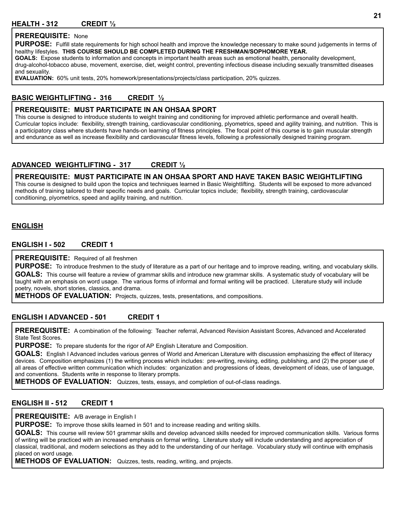#### **HEALTH - 312 CREDIT ½**

#### **PREREQUISITE:** None

**PURPOSE:** Fulfill state requirements for high school health and improve the knowledge necessary to make sound judgements in terms of healthy lifestyles. **THIS COURSE SHOULD BE COMPLETED DURING THE FRESHMAN/SOPHOMORE YEAR.**

**GOALS:** Expose students to information and concepts in important health areas such as emotional health, personality development, drug-alcohol-tobacco abuse, movement, exercise, diet, weight control, preventing infectious disease including sexually transmitted diseases and sexuality.

**EVALUATION:** 60% unit tests, 20% homework/presentations/projects/class participation, 20% quizzes.

#### **BASIC WEIGHTLIFTING - 316 CREDIT ½**

#### **PREREQUISITE: MUST PARTICIPATE IN AN OHSAA SPORT**

This course is designed to introduce students to weight training and conditioning for improved athletic performance and overall health. Curricular topics include: flexibility, strength training, cardiovascular conditioning, plyometrics, speed and agility training, and nutrition. This is a participatory class where students have hands-on learning of fitness principles. The focal point of this course is to gain muscular strength and endurance as well as increase flexibility and cardiovascular fitness levels, following a professionally designed training program.

#### **ADVANCED WEIGHTLIFTING - 317 CREDIT ½**

#### **PREREQUISITE: MUST PARTICIPATE IN AN OHSAA SPORT AND HAVE TAKEN BASIC WEIGHTLIFTING**

This course is designed to build upon the topics and techniques learned in Basic Weightlifting. Students will be exposed to more advanced methods of training tailored to their specific needs and goals. Curricular topics include; flexibility, strength training, cardiovascular conditioning, plyometrics, speed and agility training, and nutrition.

#### **ENGLISH**

#### **ENGLISH I - 502 CREDIT 1**

#### **PREREQUISITE:** Required of all freshmen

PURPOSE: To introduce freshmen to the study of literature as a part of our heritage and to improve reading, writing, and vocabulary skills. **GOALS:** This course will feature a review of grammar skills and introduce new grammar skills. A systematic study of vocabulary will be taught with an emphasis on word usage. The various forms of informal and formal writing will be practiced. Literature study will include poetry, novels, short stories, classics, and drama.

**METHODS OF EVALUATION:** Projects, quizzes, tests, presentations, and compositions.

#### **ENGLISH I ADVANCED - 501 CREDIT 1**

**PREREQUISITE:** A combination of the following: Teacher referral, Advanced Revision Assistant Scores, Advanced and Accelerated State Test Scores.

**PURPOSE:** To prepare students for the rigor of AP English Literature and Composition.

**GOALS:** English I Advanced includes various genres of World and American Literature with discussion emphasizing the effect of literacy devices. Composition emphasizes (1) the writing process which includes: pre-writing, revising, editing, publishing, and (2) the proper use of all areas of effective written communication which includes: organization and progressions of ideas, development of ideas, use of language, and conventions. Students write in response to literary prompts.

**METHODS OF EVALUATION:** Quizzes, tests, essays, and completion of out-of-class readings.

#### **ENGLISH II - 512 CREDIT 1**

**PREREQUISITE:** A/B average in English I

**PURPOSE:** To improve those skills learned in 501 and to increase reading and writing skills.

**GOALS:** This course will review 501 grammar skills and develop advanced skills needed for improved communication skills. Various forms of writing will be practiced with an increased emphasis on formal writing. Literature study will include understanding and appreciation of classical, traditional, and modern selections as they add to the understanding of our heritage. Vocabulary study will continue with emphasis placed on word usage.

**METHODS OF EVALUATION:** Quizzes, tests, reading, writing, and projects.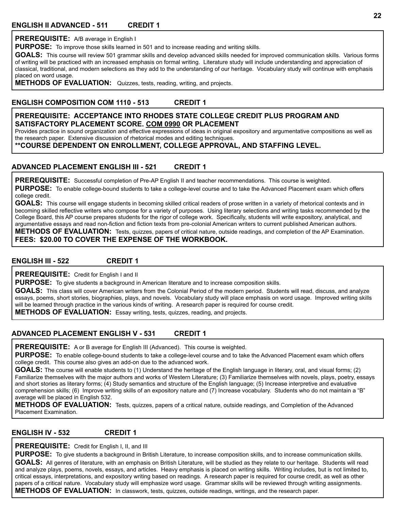**PREREQUISITE:** A/B average in English I

**PURPOSE:** To improve those skills learned in 501 and to increase reading and writing skills.

**GOALS:** This course will review 501 grammar skills and develop advanced skills needed for improved communication skills. Various forms of writing will be practiced with an increased emphasis on formal writing. Literature study will include understanding and appreciation of classical, traditional, and modern selections as they add to the understanding of our heritage. Vocabulary study will continue with emphasis placed on word usage.

**METHODS OF EVALUATION:** Quizzes, tests, reading, writing, and projects.

## **ENGLISH COMPOSITION COM 1110 - 513 CREDIT 1**

#### **PREREQUISITE: ACCEPTANCE INTO RHODES STATE COLLEGE CREDIT PLUS PROGRAM AND SATISFACTORY PLACEMENT SCORE. COM 0990 OR PLACEMENT**

Provides practice in sound organization and effective expressions of ideas in original expository and argumentative compositions as well as the research paper. Extensive discussion of rhetorical modes and editing techniques.

**\*\*COURSE DEPENDENT ON ENROLLMENT, COLLEGE APPROVAL, AND STAFFING LEVEL.**

#### **ADVANCED PLACEMENT ENGLISH III - 521 CREDIT 1**

**PREREQUISITE:** Successful completion of Pre-AP English II and teacher recommendations. This course is weighted.

**PURPOSE:** To enable college-bound students to take a college-level course and to take the Advanced Placement exam which offers college credit.

**GOALS:** This course will engage students in becoming skilled critical readers of prose written in a variety of rhetorical contexts and in becoming skilled reflective writers who compose for a variety of purposes. Using literary selections and writing tasks recommended by the College Board, this AP course prepares students for the rigor of college work. Specifically, students will write expository, analytical, and argumentative essays and read non-fiction and fiction texts from pre-colonial American writers to current published American authors.

**METHODS OF EVALUATION:** Tests, quizzes, papers of critical nature, outside readings, and completion of the AP Examination. **FEES: \$20.00 TO COVER THE EXPENSE OF THE WORKBOOK.**

#### **ENGLISH III - 522 CREDIT 1**

**PREREQUISITE:** Credit for English I and II

**PURPOSE:** To give students a background in American literature and to increase composition skills.

**GOALS:** This class will cover American writers from the Colonial Period of the modern period. Students will read, discuss, and analyze essays, poems, short stories, biographies, plays, and novels. Vocabulary study will place emphasis on word usage. Improved writing skills will be learned through practice in the various kinds of writing. A research paper is required for course credit.

**METHODS OF EVALUATION:** Essay writing, tests, quizzes, reading, and projects.

#### **ADVANCED PLACEMENT ENGLISH V - 531 CREDIT 1**

**PREREQUISITE:** A or B average for English III (Advanced). This course is weighted.

**PURPOSE:** To enable college-bound students to take a college-level course and to take the Advanced Placement exam which offers college credit. This course also gives an add-on due to the advanced work.

**GOALS:** The course will enable students to (1) Understand the heritage of the English language in literary, oral, and visual forms; (2) Familiarize themselves with the major authors and works of Western Literature; (3) Familiarize themselves with novels, plays, poetry, essays and short stories as literary forms; (4) Study semantics and structure of the English language; (5) Increase interpretive and evaluative comprehension skills; (6) Improve writing skills of an expository nature and (7) Increase vocabulary. Students who do not maintain a "B" average will be placed in English 532.

**METHODS OF EVALUATION:** Tests, quizzes, papers of a critical nature, outside readings, and Completion of the Advanced Placement Examination.

#### **ENGLISH IV - 532 CREDIT 1**

**PREREQUISITE:** Credit for English I, II, and III

**PURPOSE:** To give students a background in British Literature, to increase composition skills, and to increase communication skills. **GOALS:** All genres of literature, with an emphasis on British Literature, will be studied as they relate to our heritage. Students will read and analyze plays, poems, novels, essays, and articles. Heavy emphasis is placed on writing skills. Writing includes, but is not limited to, critical essays, interpretations, and expository writing based on readings. A research paper is required for course credit, as well as other papers of a critical nature. Vocabulary study will emphasize word usage. Grammar skills will be reviewed through writing assignments. **METHODS OF EVALUATION:** In classwork, tests, quizzes, outside readings, writings, and the research paper.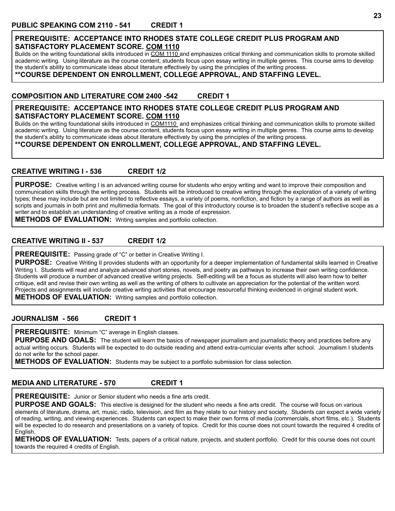#### **PREREQUISITE: ACCEPTANCE INTO RHODES STATE COLLEGE CREDIT PLUS PROGRAM AND SATISFACTORY PLACEMENT SCORE. COM 1110**

Builds on the writing foundational skills introduced in COM 1110 and emphasizes critical thinking and communication skills to promote skilled academic writing. Using literature as the course content, students focus upon essay writing in multiple genres. This course aims to develop the student's ability to communicate ideas about literature effectively by using the principles of the writing process.

#### **\*\*COURSE DEPENDENT ON ENROLLMENT, COLLEGE APPROVAL, AND STAFFING LEVEL.**

#### **COMPOSITION AND LITERATURE COM 2400 -542 CREDIT 1**

#### **PREREQUISITE: ACCEPTANCE INTO RHODES STATE COLLEGE CREDIT PLUS PROGRAM AND SATISFACTORY PLACEMENT SCORE. COM 1110**

Builds on the writing foundational skills introduced in COM1110 and emphasizes critical thinking and communication skills to promote skilled academic writing. Using literature as the course content, students focus upon essay writing in multiple genres. This course aims to develop the student's ability to communicate ideas about literature effectively by using the principles of the writing process.

**\*\*COURSE DEPENDENT ON ENROLLMENT, COLLEGE APPROVAL, AND STAFFING LEVEL.**

#### **CREATIVE WRITING I - 536 CREDIT 1/2**

PURPOSE: Creative writing I is an advanced writing course for students who enjoy writing and want to improve their composition and communication skills through the writing process. Students will be introduced to creative writing through the exploration of a variety of writing types; these may include but are not limited to reflective essays, a variety of poems, nonfiction, and fiction by a range of authors as well as scripts and journals in both print and multimedia formats. The goal of this introductory course is to broaden the student's reflective scope as a writer and to establish an understanding of creative writing as a mode of expression.

**METHODS OF EVALUATION:** Writing samples and portfolio collection.

#### **CREATIVE WRITING II - 537 CREDIT 1/2**

**PREREQUISITE:** Passing grade of "C" or better in Creative Writing I.

**PURPOSE:** Creative Writing II provides students with an opportunity for a deeper implementation of fundamental skills learned in Creative Writing I. Students will read and analyze advanced short stories, novels, and poetry as pathways to increase their own writing confidence. Students will produce a number of advanced creative writing projects. Self-editing will be a focus as students will also learn how to better critique, edit and revise their own writing as well as the writing of others to cultivate an appreciation for the potential of the written word. Projects and assignments will include creative writing activities that encourage resourceful thinking evidenced in original student work. **METHODS OF EVALUATION:** Writing samples and portfolio collection.

#### **JOURNALISM - 566 CREDIT 1**

**PREREQUISITE:** Minimum "C" average in English classes.

**PURPOSE AND GOALS:** The student will learn the basics of newspaper journalism and journalistic theory and practices before any actual writing occurs. Students will be expected to do outside reading and attend extra-curricular events after school. Journalism I students do not write for the school paper.

**METHODS OF EVALUATION:** Students may be subject to a portfolio submission for class selection.

#### **MEDIA AND LITERATURE - 570 CREDIT 1**

**PREREQUISITE:** Junior or Senior student who needs a fine arts credit.

**PURPOSE AND GOALS:** This elective is designed for the student who needs a fine arts credit. The course will focus on various elements of literature, drama, art, music, radio, television, and film as they relate to our history and society. Students can expect a wide variety of reading, writing, and viewing experiences. Students can expect to make their own forms of media (commercials, short films, etc.). Students will be expected to do research and presentations on a variety of topics. Credit for this course does not count towards the required 4 credits of English.

**METHODS OF EVALUATION:** Tests, papers of a critical nature, projects, and student portfolio. Credit for this course does not count towards the required 4 credits of English.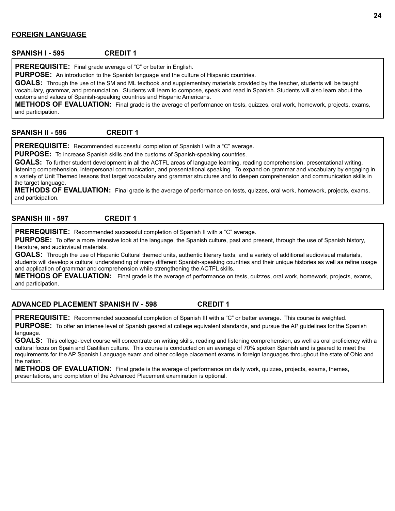#### **FOREIGN LANGUAGE**

#### **SPANISH I - 595 CREDIT 1**

**PREREQUISITE:** Final grade average of "C" or better in English.

**PURPOSE:** An introduction to the Spanish language and the culture of Hispanic countries.

**GOALS:** Through the use of the SM and ML textbook and supplementary materials provided by the teacher, students will be taught vocabulary, grammar, and pronunciation. Students will learn to compose, speak and read in Spanish. Students will also learn about the customs and values of Spanish-speaking countries and Hispanic Americans.

**METHODS OF EVALUATION:** Final grade is the average of performance on tests, quizzes, oral work, homework, projects, exams, and participation.

**SPANISH II - 596 CREDIT 1**

**PREREQUISITE:** Recommended successful completion of Spanish I with a "C" average.

**PURPOSE:** To increase Spanish skills and the customs of Spanish-speaking countries.

**GOALS:** To further student development in all the ACTFL areas of language learning, reading comprehension, presentational writing, listening comprehension, interpersonal communication, and presentational speaking. To expand on grammar and vocabulary by engaging in a variety of Unit Themed lessons that target vocabulary and grammar structures and to deepen comprehension and communication skills in the target language.

**METHODS OF EVALUATION:** Final grade is the average of performance on tests, quizzes, oral work, homework, projects, exams, and participation.

#### **SPANISH III - 597 CREDIT 1**

**PREREQUISITE:** Recommended successful completion of Spanish II with a "C" average.

**PURPOSE:** To offer a more intensive look at the language, the Spanish culture, past and present, through the use of Spanish history, literature, and audiovisual materials.

**GOALS:** Through the use of Hispanic Cultural themed units, authentic literary texts, and a variety of additional audiovisual materials, students will develop a cultural understanding of many different Spanish-speaking countries and their unique histories as well as refine usage and application of grammar and comprehension while strengthening the ACTFL skills.

**METHODS OF EVALUATION:** Final grade is the average of performance on tests, quizzes, oral work, homework, projects, exams, and participation.

#### **ADVANCED PLACEMENT SPANISH IV - 598 CREDIT 1**

**PREREQUISITE:** Recommended successful completion of Spanish III with a "C" or better average. This course is weighted.

**PURPOSE:** To offer an intense level of Spanish geared at college equivalent standards, and pursue the AP guidelines for the Spanish language.

**GOALS:** This college-level course will concentrate on writing skills, reading and listening comprehension, as well as oral proficiency with a cultural focus on Spain and Castilian culture. This course is conducted on an average of 70% spoken Spanish and is geared to meet the requirements for the AP Spanish Language exam and other college placement exams in foreign languages throughout the state of Ohio and the nation.

**METHODS OF EVALUATION:** Final grade is the average of performance on daily work, quizzes, projects, exams, themes, presentations, and completion of the Advanced Placement examination is optional.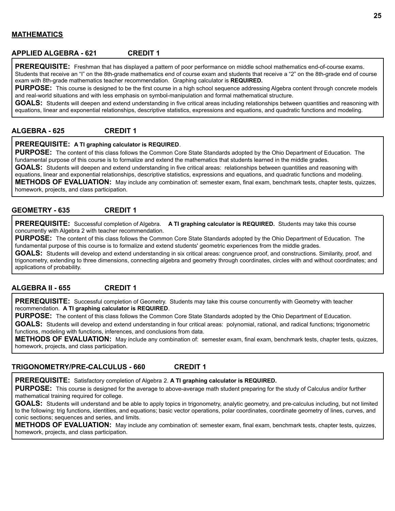#### **MATHEMATICS**

#### **APPLIED ALGEBRA - 621 CREDIT 1**

**PREREQUISITE:** Freshman that has displayed a pattern of poor performance on middle school mathematics end-of-course exams. Students that receive an "I" on the 8th-grade mathematics end of course exam and students that receive a "2" on the 8th-grade end of course exam with 8th-grade mathematics teacher recommendation. Graphing calculator is **REQUIRED.**

**PURPOSE:** This course is designed to be the first course in a high school sequence addressing Algebra content through concrete models and real-world situations and with less emphasis on symbol-manipulation and formal mathematical structure.

**GOALS:** Students will deepen and extend understanding in five critical areas including relationships between quantities and reasoning with equations, linear and exponential relationships, descriptive statistics, expressions and equations, and quadratic functions and modeling.

#### **ALGEBRA - 625 CREDIT 1**

#### **PREREQUISITE: A TI graphing calculator is REQUIRED**.

**PURPOSE:** The content of this class follows the Common Core State Standards adopted by the Ohio Department of Education. The fundamental purpose of this course is to formalize and extend the mathematics that students learned in the middle grades.

**GOALS:** Students will deepen and extend understanding in five critical areas: relationships between quantities and reasoning with equations, linear and exponential relationships, descriptive statistics, expressions and equations, and quadratic functions and modeling. **METHODS OF EVALUATION:** May include any combination of: semester exam, final exam, benchmark tests, chapter tests, quizzes,

homework, projects, and class participation.

#### **GEOMETRY - 635 CREDIT 1**

**PREREQUISITE:** Successful completion of Algebra. **A TI graphing calculator is REQUIRED.** Students may take this course concurrently with Algebra 2 with teacher recommendation.

**PURPOSE:** The content of this class follows the Common Core State Standards adopted by the Ohio Department of Education. The fundamental purpose of this course is to formalize and extend students' geometric experiences from the middle grades.

**GOALS:** Students will develop and extend understanding in six critical areas: congruence proof, and constructions. Similarity, proof, and trigonometry, extending to three dimensions, connecting algebra and geometry through coordinates, circles with and without coordinates; and applications of probability.

#### **ALGEBRA II - 655 CREDIT 1**

**PREREQUISITE:** Successful completion of Geometry. Students may take this course concurrently with Geometry with teacher recommendation. **A TI graphing calculator is REQUIRED**.

**PURPOSE:** The content of this class follows the Common Core State Standards adopted by the Ohio Department of Education.

**GOALS:** Students will develop and extend understanding in four critical areas: polynomial, rational, and radical functions; trigonometric functions, modeling with functions, inferences, and conclusions from data.

**METHODS OF EVALUATION:** May include any combination of: semester exam, final exam, benchmark tests, chapter tests, quizzes, homework, projects, and class participation.

#### **TRIGONOMETRY/PRE-CALCULUS - 660 CREDIT 1**

**PREREQUISITE:** Satisfactory completion of Algebra 2. **A TI graphing calculator is REQUIRED.**

**PURPOSE:** This course is designed for the average to above-average math student preparing for the study of Calculus and/or further mathematical training required for college.

**GOALS:** Students will understand and be able to apply topics in trigonometry, analytic geometry, and pre-calculus including, but not limited to the following: trig functions, identities, and equations; basic vector operations, polar coordinates, coordinate geometry of lines, curves, and conic sections; sequences and series, and limits.

**METHODS OF EVALUATION:** May include any combination of: semester exam, final exam, benchmark tests, chapter tests, quizzes, homework, projects, and class participation.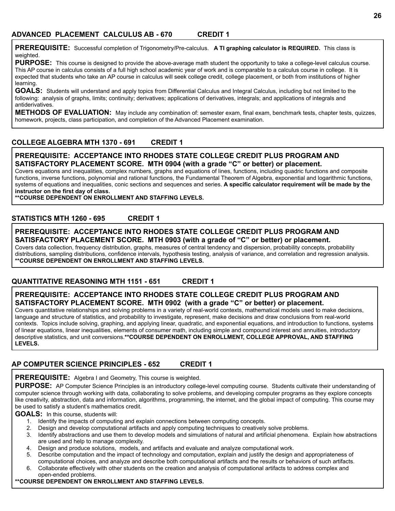**PREREQUISITE:** Successful completion of Trigonometry/Pre-calculus. **A TI graphing calculator is REQUIRED.** This class is weighted.

**PURPOSE:** This course is designed to provide the above-average math student the opportunity to take a college-level calculus course. This AP course in calculus consists of a full high school academic year of work and is comparable to a calculus course in college. It is expected that students who take an AP course in calculus will seek college credit, college placement, or both from institutions of higher learning.

**GOALS:** Students will understand and apply topics from Differential Calculus and Integral Calculus, including but not limited to the following: analysis of graphs, limits; continuity; derivatives; applications of derivatives, integrals; and applications of integrals and antiderivatives.

**METHODS OF EVALUATION:** May include any combination of: semester exam, final exam, benchmark tests, chapter tests, quizzes, homework, projects, class participation, and completion of the Advanced Placement examination.

#### **COLLEGE ALGEBRA MTH 1370 - 691 CREDIT 1**

#### **PREREQUISITE: ACCEPTANCE INTO RHODES STATE COLLEGE CREDIT PLUS PROGRAM AND SATISFACTORY PLACEMENT SCORE. MTH 0904 (with a grade "C" or better) or placement.**

Covers equations and inequalities, complex numbers, graphs and equations of lines, functions, including quadric functions and composite functions, inverse functions, polynomial and rational functions, the Fundamental Theorem of Algebra, exponential and logarithmic functions, systems of equations and inequalities, conic sections and sequences and series. **A specific calculator requirement will be made by the instructor on the first day of class.**

**\*\*COURSE DEPENDENT ON ENROLLMENT AND STAFFING LEVELS.**

#### **STATISTICS MTH 1260 - 695 CREDIT 1**

#### **PREREQUISITE: ACCEPTANCE INTO RHODES STATE COLLEGE CREDIT PLUS PROGRAM AND SATISFACTORY PLACEMENT SCORE. MTH 0903 (with a grade of "C" or better) or placement.**

Covers data collection, frequency distribution, graphs, measures of central tendency and dispersion, probability concepts, probability distributions, sampling distributions, confidence intervals, hypothesis testing, analysis of variance, and correlation and regression analysis. **\*\*COURSE DEPENDENT ON ENROLLMENT AND STAFFING LEVELS.**

#### **QUANTITATIVE REASONING MTH 1151 - 651 CREDIT 1**

#### **PREREQUISITE: ACCEPTANCE INTO RHODES STATE COLLEGE CREDIT PLUS PROGRAM AND SATISFACTORY PLACEMENT SCORE. MTH 0902 (with a grade "C" or better) or placement.**

Covers quantitative relationships and solving problems in a variety of real-world contexts, mathematical models used to make decisions, language and structure of statistics, and probability to investigate, represent, make decisions and draw conclusions from real-world contexts. Topics include solving, graphing, and applying linear, quadratic, and exponential equations, and introduction to functions, systems of linear equations, linear inequalities, elements of consumer math, including simple and compound interest and annuities, introductory descriptive statistics, and unit conversions.**\*\*COURSE DEPENDENT ON ENROLLMENT, COLLEGE APPROVAL, AND STAFFING LEVELS.**

#### **AP COMPUTER SCIENCE PRINCIPLES - 652 CREDIT 1**

**PREREQUISITE:** Algebra I and Geometry, This course is weighted.

**PURPOSE:** AP Computer Science Principles is an introductory college-level computing course. Students cultivate their understanding of computer science through working with data, collaborating to solve problems, and developing computer programs as they explore concepts like creativity, abstraction, data and information, algorithms, programming, the internet, and the global impact of computing. This course may be used to satisfy a student's mathematics credit.

#### **GOALS:** In this course, students will:

- 1. Identify the impacts of computing and explain connections between computing concepts.
- 2. Design and develop computational artifacts and apply computing techniques to creatively solve problems.
- 3. Identify abstractions and use them to develop models and simulations of natural and artificial phenomena. Explain how abstractions are used and help to manage complexity.
- 4. Design and produce solutions, models, and artifacts and evaluate and analyze computational work.
- 5. Describe computation and the impact of technology and computation, explain and justify the design and appropriateness of computational choices, and analyze and describe both computational artifacts and the results or behaviors of such artifacts.
- 6. Collaborate effectively with other students on the creation and analysis of computational artifacts to address complex and open-ended problems.

#### **\*\*COURSE DEPENDENT ON ENROLLMENT AND STAFFING LEVELS.**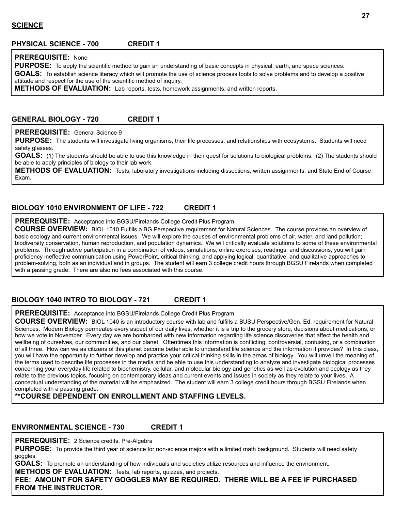#### **PHYSICAL SCIENCE - 700 CREDIT 1**

#### **PREREQUISITE:** None

PURPOSE: To apply the scientific method to gain an understanding of basic concepts in physical, earth, and space sciences.

**GOALS:** To establish science literacy which will promote the use of science process tools to solve problems and to develop a positive attitude and respect for the use of the scientific method of inquiry.

**METHODS OF EVALUATION:** Lab reports, tests, homework assignments, and written reports.

#### **GENERAL BIOLOGY - 720 CREDIT 1**

#### **PREREQUISITE:** General Science 9

**PURPOSE:** The students will investigate living organisms, their life processes, and relationships with ecosystems. Students will need safety glasses.

GOALS: (1) The students should be able to use this knowledge in their quest for solutions to biological problems. (2) The students should be able to apply principles of biology to their lab work.

**METHODS OF EVALUATION:** Tests, laboratory investigations including dissections, written assignments, and State End of Course Exam.

#### **BIOLOGY 1010 ENVIRONMENT OF LIFE - 722 CREDIT 1**

**PREREQUISITE:** Acceptance into BGSU/Firelands College Credit Plus Program

**COURSE OVERVIEW:** BIOL 1010 Fulfills a BG Perspective requirement for Natural Sciences. The course provides an overview of basic ecology and current environmental issues. We will explore the causes of environmental problems of air, water, and land pollution; biodiversity conservation, human reproduction, and population dynamics. We will critically evaluate solutions to some of these environmental problems. Through active participation in a combination of videos, simulations, online exercises, readings, and discussions, you will gain proficiency ineffective communication using PowerPoint, critical thinking, and applying logical, quantitative, and qualitative approaches to problem-solving, both as an individual and in groups. The student will earn 3 college credit hours through BGSU Firelands when completed with a passing grade. There are also no fees associated with this course.

#### **BIOLOGY 1040 INTRO TO BIOLOGY - 721 CREDIT 1**

**PREREQUISITE:** Acceptance into BGSU/Firelands College Credit Plus Program

**COURSE OVERVIEW:** BIOL 1040 is an introductory course with lab and fulfills a BUSU Perspective/Gen. Ed. requirement for Natural Sciences. Modern Biology permeates every aspect of our daily lives, whether it is a trip to the grocery store, decisions about medications, or how we vote in November. Every day we are bombarded with new information regarding life science discoveries that affect the health and wellbeing of ourselves, our communities, and our planet. Oftentimes this information is conflicting, controversial, confusing, or a combination of all three. How can we as citizens of this planet become better able to understand life science and the information it provides? In this class, you will have the opportunity to further develop and practice your critical thinking skills in the areas of biology. You will unveil the meaning of the terms used to describe life processes in the media and be able to use this understanding to analyze and investigate biological processes concerning your everyday life related to biochemistry, cellular, and molecular biology and genetics as well as evolution and ecology as they relate to the previous topics, focusing on contemporary ideas and current events and issues in society as they relate to your lives. A conceptual understanding of the material will be emphasized. The student will earn 3 college credit hours through BGSU Firelands when completed with a passing grade.

**\*\*COURSE DEPENDENT ON ENROLLMENT AND STAFFING LEVELS.**

#### **ENVIRONMENTAL SCIENCE - 730 CREDIT 1**

**PREREQUISITE:** 2 Science credits, Pre-Algebra

**PURPOSE:** To provide the third year of science for non-science majors with a limited math background. Students will need safety goggles.

**GOALS:** To promote an understanding of how individuals and societies utilize resources and influence the environment.

**METHODS OF EVALUATION:** Tests, lab reports, quizzes, and projects.

**FEE: AMOUNT FOR SAFETY GOGGLES MAY BE REQUIRED. THERE WILL BE A FEE IF PURCHASED FROM THE INSTRUCTOR.**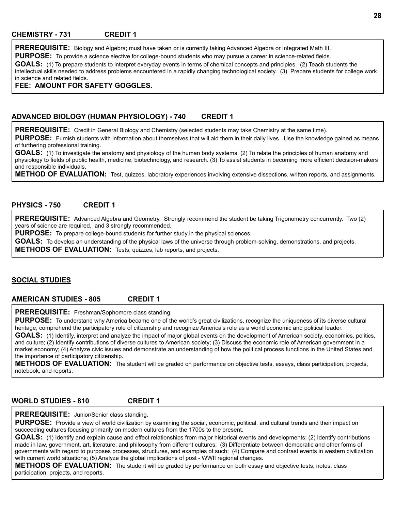**PREREQUISITE:** Biology and Algebra; must have taken or is currently taking Advanced Algebra or Integrated Math III.

**PURPOSE:** To provide a science elective for college-bound students who may pursue a career in science-related fields.

**GOALS:** (1) To prepare students to interpret everyday events in terms of chemical concepts and principles. (2) Teach students the intellectual skills needed to address problems encountered in a rapidly changing technological society. (3) Prepare students for college work in science and related fields.

**FEE: AMOUNT FOR SAFETY GOGGLES.**

#### **ADVANCED BIOLOGY (HUMAN PHYSIOLOGY) - 740 CREDIT 1**

**PREREQUISITE:** Credit in General Biology and Chemistry (selected students may take Chemistry at the same time).

PURPOSE: Furnish students with information about themselves that will aid them in their daily lives. Use the knowledge gained as means of furthering professional training.

GOALS: (1) To investigate the anatomy and physiology of the human body systems. (2) To relate the principles of human anatomy and physiology to fields of public health, medicine, biotechnology, and research. (3) To assist students in becoming more efficient decision-makers and responsible individuals.

**METHOD OF EVALUATION:** Test, quizzes, laboratory experiences involving extensive dissections, written reports, and assignments.

#### **PHYSICS - 750 CREDIT 1**

**PREREQUISITE:** Advanced Algebra and Geometry. Strongly recommend the student be taking Trigonometry concurrently. Two (2) years of science are required, and 3 strongly recommended.

**PURPOSE:** To prepare college-bound students for further study in the physical sciences.

**GOALS:** To develop an understanding of the physical laws of the universe through problem-solving, demonstrations, and projects. **METHODS OF EVALUATION:** Tests, quizzes, lab reports, and projects.

#### **SOCIAL STUDIES**

#### **AMERICAN STUDIES - 805 CREDIT 1**

**PREREQUISITE:** Freshman/Sophomore class standing.

**PURPOSE:** To understand why America became one of the world's great civilizations, recognize the uniqueness of its diverse cultural heritage, comprehend the participatory role of citizenship and recognize America's role as a world economic and political leader.

GOALS: (1) Identify, interpret and analyze the impact of major global events on the development of American society, economics, politics, and culture; (2) Identify contributions of diverse cultures to American society; (3) Discuss the economic role of American government in a market economy; (4) Analyze civic issues and demonstrate an understanding of how the political process functions in the United States and the importance of participatory citizenship.

**METHODS OF EVALUATION:** The student will be graded on performance on objective tests, essays, class participation, projects, notebook, and reports.

#### **WORLD STUDIES - 810 CREDIT 1**

**PREREQUISITE:** Junior/Senior class standing.

**PURPOSE:** Provide a view of world civilization by examining the social, economic, political, and cultural trends and their impact on succeeding cultures focusing primarily on modern cultures from the 1700s to the present.

**GOALS:** (1) Identify and explain cause and effect relationships from major historical events and developments; (2) Identify contributions made in law, government, art, literature, and philosophy from different cultures; (3) Differentiate between democratic and other forms of governments with regard to purposes processes, structures, and examples of such; (4) Compare and contrast events in western civilization with current world situations; (5) Analyze the global implications of post - WWII regional changes.

**METHODS OF EVALUATION:** The student will be graded by performance on both essay and objective tests, notes, class participation, projects, and reports.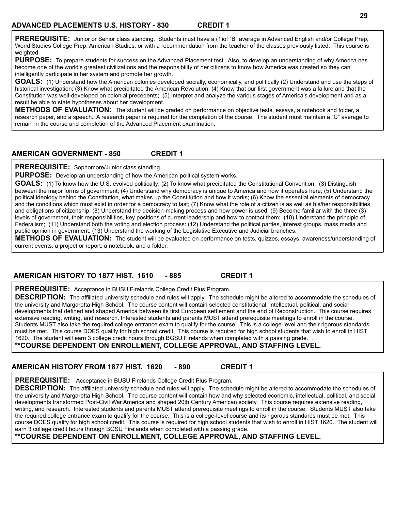**PREREQUISITE:** Junior or Senior class standing. Students must have a (1)of "B" average in Advanced English and/or College Prep, World Studies College Prep, American Studies, or with a recommendation from the teacher of the classes previously listed. This course is weighted.

**PURPOSE:** To prepare students for success on the Advanced Placement test. Also, to develop an understanding of why America has become one of the world's greatest civilizations and the responsibility of her citizens to know how America was created so they can intelligently participate in her system and promote her growth.

**GOALS:** (1) Understand how the American colonies developed socially, economically, and politically (2) Understand and use the steps of historical investigation; (3) Know what precipitated the American Revolution; (4) Know that our first government was a failure and that the Constitution was well-developed on colonial precedents; (5) Interpret and analyze the various stages of America's development and as a result be able to state hypotheses about her development.

**METHODS OF EVALUATION:** The student will be graded on performance on objective tests, essays, a notebook and folder, a research paper, and a speech. A research paper is required for the completion of the course. The student must maintain a "C" average to remain in the course and completion of the Advanced Placement examination.

#### **AMERICAN GOVERNMENT - 850 CREDIT 1**

**PREREQUISITE:** Sophomore/Junior class standing.

**PURPOSE:** Develop an understanding of how the American political system works.

**GOALS:** (1) To know how the U.S. evolved politically; (2) To know what precipitated the Constitutional Convention. (3) Distinguish between the major forms of government; (4) Understand why democracy is unique to America and how it operates here; (5) Understand the political ideology behind the Constitution, what makes up the Constitution and how it works; (6) Know the essential elements of democracy and the conditions which must exist in order for a democracy to last; (7) Know what the role of a citizen is as well as his/her responsibilities and obligations of citizenship; (8) Understand the decision-making process and how power is used; (9) Become familiar with the three (3) levels of government, their responsibilities, key positions of current leadership and how to contact them; (10) Understand the principle of Federalism; (11) Understand both the voting and election process: (12) Understand the political parties, interest groups, mass media and public opinion in government; (13) Understand the working of the Legislative Executive and Judicial branches.

**METHODS OF EVALUATION:** The student will be evaluated on performance on tests, quizzes, essays, awareness/understanding of current events, a project or report, a notebook, and a folder.

#### **AMERICAN HISTORY TO 1877 HIST. 1610 - 885 CREDIT 1**

**PREREQUISITE:** Acceptance in BUSU Firelands College Credit Plus Program.

**DESCRIPTION:** The affiliated university schedule and rules will apply. The schedule might be altered to accommodate the schedules of the university and Margaretta High School. The course content will contain selected constitutional, intellectual, political, and social developments that defined and shaped America between its first European settlement and the end of Reconstruction. This course requires extensive reading, writing, and research. Interested students and parents MUST attend prerequisite meetings to enroll in the course. Students MUST also take the required college entrance exam to qualify for the course. This is a college-level and their rigorous standards must be met. This course DOES qualify for high school credit. This course is required for high school students that wish to enroll in HIST 1620. The student will earn 3 college credit hours through BGSU Firelands when completed with a passing grade. .

**\*\*COURSE DEPENDENT ON ENROLLMENT, COLLEGE APPROVAL, AND STAFFING LEVEL.**

# **AMERICAN HISTORY FROM 1877 HIST. 1620 - 890 CREDIT 1**

**PREREQUISITE:** Acceptance in BUSU Firelands College Credit Plus Program.

**DESCRIPTION:** The affiliated university schedule and rules will apply. The schedule might be altered to accommodate the schedules of the university and Margaretta High School. The course content will contain how and why selected economic, intellectual, political, and social developments transformed Post-Civil War America and shaped 20th Century American society. This course requires extensive reading, writing, and research. Interested students and parents MUST attend prerequisite meetings to enroll in the course. Students MUST also take the required college entrance exam to qualify for the course. This is a college-level course and its rigorous standards must be met. This course DOES qualify for high school credit. This course is required for high school students that wish to enroll in HIST 1620. The student will earn 3 college credit hours through BGSU Firelands when completed with a passing grade.

#### **\*\*COURSE DEPENDENT ON ENROLLMENT, COLLEGE APPROVAL, AND STAFFING LEVEL.**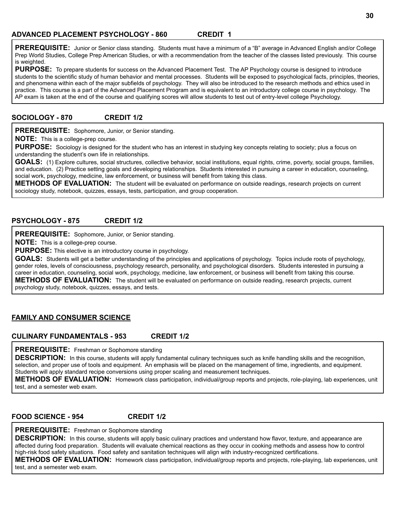**PREREQUISITE:** Junior or Senior class standing. Students must have a minimum of a "B" average in Advanced English and/or College Prep World Studies, College Prep American Studies, or with a recommendation from the teacher of the classes listed previously. This course is weighted.

PURPOSE: To prepare students for success on the Advanced Placement Test. The AP Psychology course is designed to introduce students to the scientific study of human behavior and mental processes. Students will be exposed to psychological facts, principles, theories, and phenomena within each of the major subfields of psychology. They will also be introduced to the research methods and ethics used in practice. This course is a part of the Advanced Placement Program and is equivalent to an introductory college course in psychology. The AP exam is taken at the end of the course and qualifying scores will allow students to test out of entry-level college Psychology.

#### **SOCIOLOGY - 870 CREDIT 1/2**

**PREREQUISITE:** Sophomore, Junior, or Senior standing.

**NOTE:** This is a college-prep course.

**PURPOSE:** Sociology is designed for the student who has an interest in studying key concepts relating to society; plus a focus on understanding the student's own life in relationships.

GOALS: (1) Explore cultures, social structures, collective behavior, social institutions, equal rights, crime, poverty, social groups, families, and education. (2) Practice setting goals and developing relationships. Students interested in pursuing a career in education, counseling, social work, psychology, medicine, law enforcement, or business will benefit from taking this class.

**METHODS OF EVALUATION:** The student will be evaluated on performance on outside readings, research projects on current sociology study, notebook, quizzes, essays, tests, participation, and group cooperation.

#### **PSYCHOLOGY - 875 CREDIT 1/2**

**PREREQUISITE:** Sophomore, Junior, or Senior standing.

**NOTE:** This is a college-prep course.

**PURPOSE:** This elective is an introductory course in psychology.

**GOALS:** Students will get a better understanding of the principles and applications of psychology. Topics include roots of psychology, gender roles, levels of consciousness, psychology research, personality, and psychological disorders. Students interested in pursuing a career in education, counseling, social work, psychology, medicine, law enforcement, or business will benefit from taking this course. **METHODS OF EVALUATION:** The student will be evaluated on performance on outside reading, research projects, current psychology study, notebook, quizzes, essays, and tests.

#### **FAMILY AND CONSUMER SCIENCE**

**CULINARY FUNDAMENTALS - 953 CREDIT 1/2**

**PREREQUISITE:** Freshman or Sophomore standing

**DESCRIPTION:** In this course, students will apply fundamental culinary techniques such as knife handling skills and the recognition, selection, and proper use of tools and equipment. An emphasis will be placed on the management of time, ingredients, and equipment. Students will apply standard recipe conversions using proper scaling and measurement techniques.

**METHODS OF EVALUATION:** Homework class participation, individual/group reports and projects, role-playing, lab experiences, unit test, and a semester web exam.

#### **FOOD SCIENCE - 954 CREDIT 1/2**

**PREREQUISITE:** Freshman or Sophomore standing

**DESCRIPTION:** In this course, students will apply basic culinary practices and understand how flavor, texture, and appearance are affected during food preparation. Students will evaluate chemical reactions as they occur in cooking methods and assess how to control high-risk food safety situations. Food safety and sanitation techniques will align with industry-recognized certifications.

**METHODS OF EVALUATION:** Homework class participation, individual/group reports and projects, role-playing, lab experiences, unit test, and a semester web exam.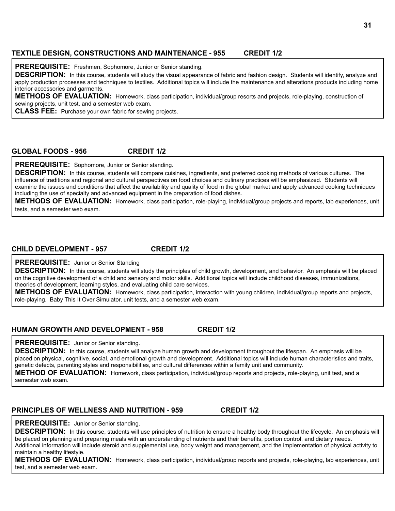#### **TEXTILE DESIGN, CONSTRUCTIONS AND MAINTENANCE - 955 CREDIT 1/2**

**PREREQUISITE:** Freshmen, Sophomore, Junior or Senior standing.

**DESCRIPTION:** In this course, students will study the visual appearance of fabric and fashion design. Students will identify, analyze and apply production processes and techniques to textiles. Additional topics will include the maintenance and alterations products including home interior accessories and garments.

**METHODS OF EVALUATION:** Homework, class participation, individual/group resorts and projects, role-playing, construction of sewing projects, unit test, and a semester web exam.

**CLASS FEE:** Purchase your own fabric for sewing projects.

#### **GLOBAL FOODS - 956 CREDIT 1/2**

**PREREQUISITE:** Sophomore, Junior or Senior standing.

**DESCRIPTION:** In this course, students will compare cuisines, ingredients, and preferred cooking methods of various cultures. The influence of traditions and regional and cultural perspectives on food choices and culinary practices will be emphasized. Students will examine the issues and conditions that affect the availability and quality of food in the global market and apply advanced cooking techniques including the use of specialty and advanced equipment in the preparation of food dishes.

**METHODS OF EVALUATION:** Homework, class participation, role-playing, individual/group projects and reports, lab experiences, unit tests, and a semester web exam.

**CHILD DEVELOPMENT - 957 CREDIT 1/2**

**PREREQUISITE:** Junior or Senior Standing

**DESCRIPTION:** In this course, students will study the principles of child growth, development, and behavior. An emphasis will be placed on the cognitive development of a child and sensory and motor skills. Additional topics will include childhood diseases, immunizations, theories of development, learning styles, and evaluating child care services.

**METHODS OF EVALUATION:** Homework, class participation, interaction with young children, individual/group reports and projects, role-playing. Baby This It Over Simulator, unit tests, and a semester web exam.

#### **HUMAN GROWTH AND DEVELOPMENT - 958 CREDIT 1/2**

#### **PREREQUISITE:** Junior or Senior standing.

**DESCRIPTION:** In this course, students will analyze human growth and development throughout the lifespan. An emphasis will be placed on physical, cognitive, social, and emotional growth and development. Additional topics will include human characteristics and traits, genetic defects, parenting styles and responsibilities, and cultural differences within a family unit and community.

**METHOD OF EVALUATION:** Homework, class participation, individual/group reports and projects, role-playing, unit test, and a semester web exam.

#### **PRINCIPLES OF WELLNESS AND NUTRITION - 959 CREDIT 1/2**

**PREREQUISITE:** Junior or Senior standing.

**DESCRIPTION:** In this course, students will use principles of nutrition to ensure a healthy body throughout the lifecycle. An emphasis will be placed on planning and preparing meals with an understanding of nutrients and their benefits, portion control, and dietary needs. Additional information will include steroid and supplemental use, body weight and management, and the implementation of physical activity to maintain a healthy lifestyle.

**METHODS OF EVALUATION:** Homework, class participation, individual/group reports and projects, role-playing, lab experiences, unit test, and a semester web exam.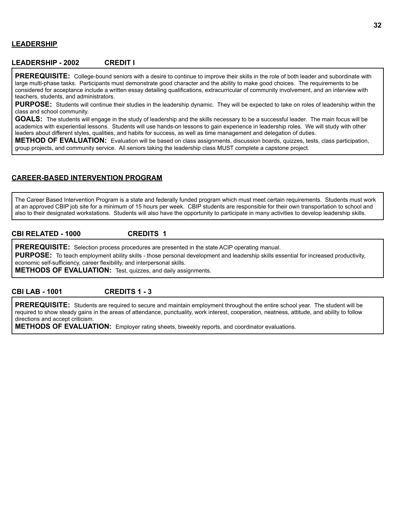#### **LEADERSHIP**

#### **LEADERSHIP - 2002 CREDIT I**

**PREREQUISITE:** College-bound seniors with a desire to continue to improve their skills in the role of both leader and subordinate with large multi-phase tasks. Participants must demonstrate good character and the ability to make good choices. The requirements to be considered for acceptance include a written essay detailing qualifications, extracurricular of community involvement, and an interview with teachers, students, and administrators.

**PURPOSE:** Students will continue their studies in the leadership dynamic. They will be expected to take on roles of leadership within the class and school community.

**GOALS:** The students will engage in the study of leadership and the skills necessary to be a successful leader. The main focus will be academics with experiential lessons. Students will use hands-on lessons to gain experience in leadership roles. We will study with other leaders about different styles, qualities, and habits for success, as well as time management and delegation of duties.

**METHOD OF EVALUATION:** Evaluation will be based on class assignments, discussion boards, quizzes, tests, class participation, group projects, and community service. All seniors taking the leadership class MUST complete a capstone project.

#### **CAREER-BASED INTERVENTION PROGRAM**

The Career Based Intervention Program is a state and federally funded program which must meet certain requirements. Students must work at an approved CBIP job site for a minimum of 15 hours per week. CBIP students are responsible for their own transportation to school and also to their designated workstations. Students will also have the opportunity to participate in many activities to develop leadership skills.

#### **CBI RELATED - 1000 CREDITS 1**

**PREREQUISITE:** Selection process procedures are presented in the state ACIP operating manual.

**PURPOSE:** To teach employment ability skills - those personal development and leadership skills essential for increased productivity, economic self-sufficiency, career flexibility, and interpersonal skills.

**METHODS OF EVALUATION:** Test, quizzes, and daily assignments.

#### **CBI LAB - 1001 CREDITS 1 - 3**

**PREREQUISITE:** Students are required to secure and maintain employment throughout the entire school year. The student will be required to show steady gains in the areas of attendance, punctuality, work interest, cooperation, neatness, attitude, and ability to follow directions and accept criticism.

**METHODS OF EVALUATION:** Employer rating sheets, biweekly reports, and coordinator evaluations.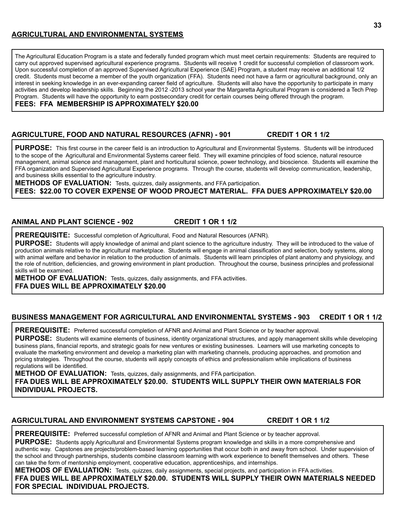#### **AGRICULTURAL AND ENVIRONMENTAL SYSTEMS**

The Agricultural Education Program is a state and federally funded program which must meet certain requirements: Students are required to carry out approved supervised agricultural experience programs. Students will receive 1 credit for successful completion of classroom work. Upon successful completion of an approved Supervised Agricultural Experience (SAE) Program, a student may receive an additional 1/2 credit. Students must become a member of the youth organization (FFA). Students need not have a farm or agricultural background, only an interest in seeking knowledge in an ever-expanding career field of agriculture. Students will also have the opportunity to participate in many activities and develop leadership skills. Beginning the 2012 -2013 school year the Margaretta Agricultural Program is considered a Tech Prep Program. Students will have the opportunity to earn postsecondary credit for certain courses being offered through the program. **FEES: FFA MEMBERSHIP IS APPROXIMATELY \$20.00**

#### **AGRICULTURE, FOOD AND NATURAL RESOURCES (AFNR) - 901 CREDIT 1 OR 1 1/2**

**PURPOSE:** This first course in the career field is an introduction to Agricultural and Environmental Systems. Students will be introduced to the scope of the Agricultural and Environmental Systems career field. They will examine principles of food science, natural resource management, animal science and management, plant and horticultural science, power technology, and bioscience. Students will examine the FFA organization and Supervised Agricultural Experience programs. Through the course, students will develop communication, leadership, and business skills essential to the agriculture industry.

**METHODS OF EVALUATION:** Tests, quizzes, daily assignments, and FFA participation.

**FEES: \$22.00 TO COVER EXPENSE OF WOOD PROJECT MATERIAL. FFA DUES APPROXIMATELY \$20.00**

#### **ANIMAL AND PLANT SCIENCE - 902 CREDIT 1 OR 1 1/2**

**PREREQUISITE:** Successful completion of Agricultural, Food and Natural Resources (AFNR).

**PURPOSE:** Students will apply knowledge of animal and plant science to the agriculture industry. They will be introduced to the value of production animals relative to the agricultural marketplace. Students will engage in animal classification and selection, body systems, along with animal welfare and behavior in relation to the production of animals. Students will learn principles of plant anatomy and physiology, and the role of nutrition, deficiencies, and growing environment in plant production. Throughout the course, business principles and professional skills will be examined.

**METHOD OF EVALUATION:** Tests, quizzes, daily assignments, and FFA activities. **FFA DUES WILL BE APPROXIMATELY \$20.00**

#### **BUSINESS MANAGEMENT FOR AGRICULTURAL AND ENVIRONMENTAL SYSTEMS - 903 CREDIT 1 OR 1 1/2**

**PREREQUISITE:** Preferred successful completion of AFNR and Animal and Plant Science or by teacher approval.

**PURPOSE:** Students will examine elements of business, identity organizational structures, and apply management skills while developing business plans, financial reports, and strategic goals for new ventures or existing businesses. Learners will use marketing concepts to evaluate the marketing environment and develop a marketing plan with marketing channels, producing approaches, and promotion and pricing strategies. Throughout the course, students will apply concepts of ethics and professionalism while implications of business regulations will be identified.

**METHOD OF EVALUATION:** Tests, quizzes, daily assignments, and FFA participation. **FFA DUES WILL BE APPROXIMATELY \$20.00. STUDENTS WILL SUPPLY THEIR OWN MATERIALS FOR INDIVIDUAL PROJECTS.**

#### **AGRICULTURAL AND ENVIRONMENT SYSTEMS CAPSTONE - 904 CREDIT 1 OR 1 1/2**

**PREREQUISITE:** Preferred successful completion of AFNR and Animal and Plant Science or by teacher approval. **PURPOSE:** Students apply Agricultural and Environmental Systems program knowledge and skills in a more comprehensive and authentic way. Capstones are projects/problem-based learning opportunities that occur both in and away from school. Under supervision of the school and through partnerships, students combine classroom learning with work experience to benefit themselves and others. These can take the form of mentorship employment, cooperative education, apprenticeships, and internships.

**METHODS OF EVALUATION:** Tests, quizzes, daily assignments, special projects, and participation in FFA activities.

**FFA DUES WILL BE APPROXIMATELY \$20.00. STUDENTS WILL SUPPLY THEIR OWN MATERIALS NEEDED FOR SPECIAL INDIVIDUAL PROJECTS.**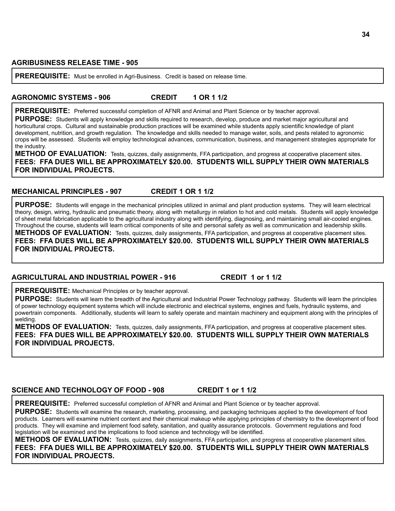**PREREQUISITE:** Must be enrolled in Agri-Business. Credit is based on release time.

#### **AGRONOMIC SYSTEMS - 906 CREDIT 1 OR 1 1/2**

**PREREQUISITE:** Preferred successful completion of AFNR and Animal and Plant Science or by teacher approval.

**PURPOSE:** Students will apply knowledge and skills required to research, develop, produce and market major agricultural and horticultural crops. Cultural and sustainable production practices will be examined while students apply scientific knowledge of plant development, nutrition, and growth regulation. The knowledge and skills needed to manage water, soils, and pests related to agronomic crops will be assessed. Students will employ technological advances, communication, business, and management strategies appropriate for the industry.

**METHOD OF EVALUATION:** Tests, quizzes, daily assignments, FFA participation, and progress at cooperative placement sites. **FEES: FFA DUES WILL BE APPROXIMATELY \$20.00. STUDENTS WILL SUPPLY THEIR OWN MATERIALS FOR INDIVIDUAL PROJECTS.**

#### **MECHANICAL PRINCIPLES - 907 CREDIT 1 OR 1 1/2**

**PURPOSE:** Students will engage in the mechanical principles utilized in animal and plant production systems. They will learn electrical theory, design, wiring, hydraulic and pneumatic theory, along with metallurgy in relation to hot and cold metals. Students will apply knowledge of sheet metal fabrication applicable to the agricultural industry along with identifying, diagnosing, and maintaining small air-cooled engines. Throughout the course, students will learn critical components of site and personal safety as well as communication and leadership skills. **METHODS OF EVALUATION:** Tests, quizzes, daily assignments, FFA participation, and progress at cooperative placement sites. **FEES: FFA DUES WILL BE APPROXIMATELY \$20.00. STUDENTS WILL SUPPLY THEIR OWN MATERIALS FOR INDIVIDUAL PROJECTS.**

#### **AGRICULTURAL AND INDUSTRIAL POWER - 916 CREDIT 1 or 1 1/2**

**PREREQUISITE:** Mechanical Principles or by teacher approval.

**PURPOSE:** Students will learn the breadth of the Agricultural and Industrial Power Technology pathway. Students will learn the principles of power technology equipment systems which will include electronic and electrical systems, engines and fuels, hydraulic systems, and powertrain components. Additionally, students will learn to safely operate and maintain machinery and equipment along with the principles of welding.

**METHODS OF EVALUATION:** Tests, quizzes, daily assignments, FFA participation, and progress at cooperative placement sites. **FEES: FFA DUES WILL BE APPROXIMATELY \$20.00. STUDENTS WILL SUPPLY THEIR OWN MATERIALS FOR INDIVIDUAL PROJECTS.**

#### **SCIENCE AND TECHNOLOGY OF FOOD - 908 CREDIT 1 or 1 1/2**

**PREREQUISITE:** Preferred successful completion of AFNR and Animal and Plant Science or by teacher approval.

**PURPOSE:** Students will examine the research, marketing, processing, and packaging techniques applied to the development of food products. Learners will examine nutrient content and their chemical makeup while applying principles of chemistry to the development of food products. They will examine and implement food safety, sanitation, and quality assurance protocols. Government regulations and food legislation will be examined and the implications to food science and technology will be identified.

**METHODS OF EVALUATION:** Tests, quizzes, daily assignments, FFA participation, and progress at cooperative placement sites. **FEES: FFA DUES WILL BE APPROXIMATELY \$20.00. STUDENTS WILL SUPPLY THEIR OWN MATERIALS FOR INDIVIDUAL PROJECTS.**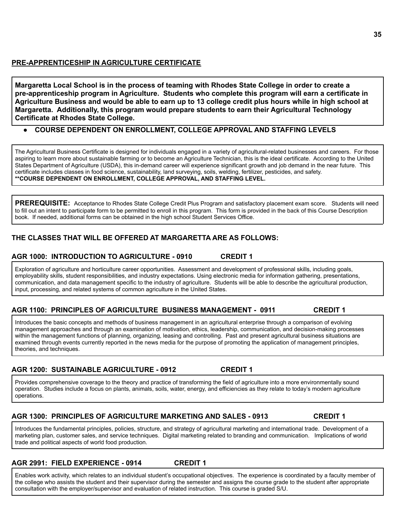Margaretta Local School is in the process of teaming with Rhodes State College in order to create a **pre-apprenticeship program in Agriculture. Students who complete this program will earn a certificate in** Agriculture Business and would be able to earn up to 13 college credit plus hours while in high school at **Margaretta. Additionally, this program would prepare students to earn their Agricultural Technology Certificate at Rhodes State College.**

#### **● COURSE DEPENDENT ON ENROLLMENT, COLLEGE APPROVAL AND STAFFING LEVELS**

The Agricultural Business Certificate is designed for individuals engaged in a variety of agricultural-related businesses and careers. For those aspiring to learn more about sustainable farming or to become an Agriculture Technician, this is the ideal certificate. According to the United States Department of Agriculture (USDA), this in-demand career will experience significant growth and job demand in the near future. This certificate includes classes in food science, sustainability, land surveying, soils, welding, fertilizer, pesticides, and safety. **\*\*COURSE DEPENDENT ON ENROLLMENT, COLLEGE APPROVAL, AND STAFFING LEVEL.**

**PREREQUISITE:** Acceptance to Rhodes State College Credit Plus Program and satisfactory placement exam score. Students will need to fill out an intent to participate form to be permitted to enroll in this program. This form is provided in the back of this Course Description book. If needed, additional forms can be obtained in the high school Student Services Office.

#### **THE CLASSES THAT WILL BE OFFERED AT MARGARETTA ARE AS FOLLOWS:**

# **AGR 1000: INTRODUCTION TO AGRICULTURE - 0910 CREDIT 1**

Exploration of agriculture and horticulture career opportunities. Assessment and development of professional skills, including goals, employability skills, student responsibilities, and industry expectations. Using electronic media for information gathering, presentations, communication, and data management specific to the industry of agriculture. Students will be able to describe the agricultural production, input, processing, and related systems of common agriculture in the United States.

# **AGR 1100: PRINCIPLES OF AGRICULTURE BUSINESS MANAGEMENT - 0911 CREDIT 1**

Introduces the basic concepts and methods of business management in an agricultural enterprise through a comparison of evolving management approaches and through an examination of motivation, ethics, leadership, communication, and decision-making processes within the management functions of planning, organizing, leasing and controlling. Past and present agricultural business situations are examined through events currently reported in the news media for the purpose of promoting the application of management principles, theories, and techniques.

# **AGR 1200: SUSTAINABLE AGRICULTURE - 0912 CREDIT 1**

Provides comprehensive coverage to the theory and practice of transforming the field of agriculture into a more environmentally sound operation. Studies include a focus on plants, animals, soils, water, energy, and efficiencies as they relate to today's modern agriculture operations.

# **AGR 1300: PRINCIPLES OF AGRICULTURE MARKETING AND SALES - 0913 CREDIT 1**

Introduces the fundamental principles, policies, structure, and strategy of agricultural marketing and international trade. Development of a marketing plan, customer sales, and service techniques. Digital marketing related to branding and communication. Implications of world trade and political aspects of world food production.

# **AGR 2991: FIELD EXPERIENCE - 0914 CREDIT 1**

Enables work activity, which relates to an individual student's occupational objectives. The experience is coordinated by a faculty member of the college who assists the student and their supervisor during the semester and assigns the course grade to the student after appropriate consultation with the employer/supervisor and evaluation of related instruction. This course is graded S/U.

**35**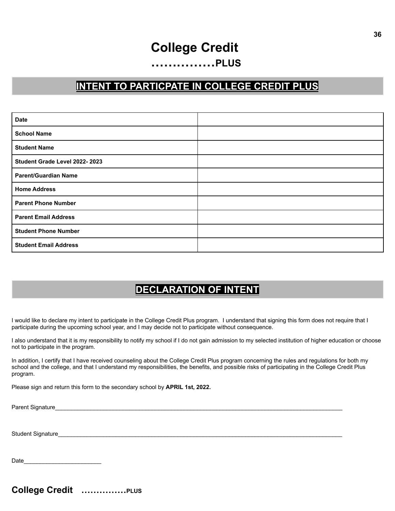# **College Credit**

# **……………PLUS**

# **INTENT TO PARTICPATE IN COLLEGE CREDIT PLUS**

| <b>Date</b>                   |  |
|-------------------------------|--|
| <b>School Name</b>            |  |
| <b>Student Name</b>           |  |
| Student Grade Level 2022-2023 |  |
| <b>Parent/Guardian Name</b>   |  |
| <b>Home Address</b>           |  |
| <b>Parent Phone Number</b>    |  |
| <b>Parent Email Address</b>   |  |
| <b>Student Phone Number</b>   |  |
| <b>Student Email Address</b>  |  |

# **DECLARATION OF INTENT**

I would like to declare my intent to participate in the College Credit Plus program. I understand that signing this form does not require that I participate during the upcoming school year, and I may decide not to participate without consequence.

I also understand that it is my responsibility to notify my school if I do not gain admission to my selected institution of higher education or choose not to participate in the program.

In addition, I certify that I have received counseling about the College Credit Plus program concerning the rules and regulations for both my school and the college, and that I understand my responsibilities, the benefits, and possible risks of participating in the College Credit Plus program.

Please sign and return this form to the secondary school by **APRIL 1st, 2022.**

Parent Signature\_\_\_\_\_\_\_\_\_\_\_\_\_\_\_\_\_\_\_\_\_\_\_\_\_\_\_\_\_\_\_\_\_\_\_\_\_\_\_\_\_\_\_\_\_\_\_\_\_\_\_\_\_\_\_\_\_\_\_\_\_\_\_\_\_\_\_\_\_\_\_\_\_\_\_\_\_\_\_\_\_\_\_\_\_\_\_\_\_

Student Signature

Date\_\_\_\_\_\_\_\_\_\_\_\_\_\_\_\_\_\_\_\_\_\_\_\_

**36**

**College Credit ……………PLUS**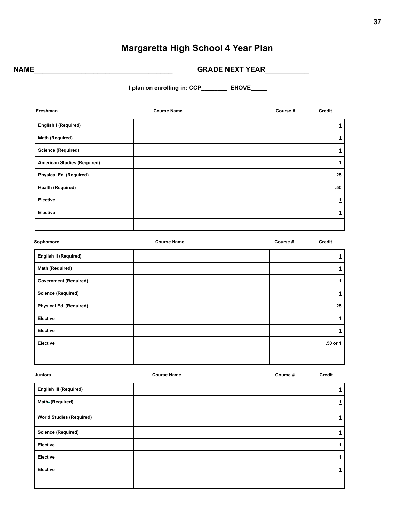# **Margaretta High School 4 Year Plan**

**NAME\_\_\_\_\_\_\_\_\_\_\_\_\_\_\_\_\_\_\_\_\_\_\_\_\_\_\_\_\_\_\_\_\_\_\_ GRADE NEXT YEAR\_\_\_\_\_\_\_\_\_\_\_**

**I plan on enrolling in: CCP\_\_\_\_\_\_\_\_ EHOVE\_\_\_\_\_**

| Freshman                           | <b>Course Name</b> | Course # | Credit             |
|------------------------------------|--------------------|----------|--------------------|
| English I (Required)               |                    |          | $\mathbf 1$        |
| Math (Required)                    |                    |          | $\mathbf 1$        |
| <b>Science (Required)</b>          |                    |          | $\mathbf 1$        |
| <b>American Studies (Required)</b> |                    |          | $\mathbf 1$        |
| Physical Ed. (Required)            |                    |          | .25                |
| <b>Health (Required)</b>           |                    |          | .50                |
| <b>Elective</b>                    |                    |          | $\mathbf 1$        |
| <b>Elective</b>                    |                    |          | $\mathbf 1$        |
|                                    |                    |          |                    |
| Sophomore                          | <b>Course Name</b> | Course # | Credit             |
| <b>English II (Required)</b>       |                    |          | $\overline{1}$     |
| Math (Required)                    |                    |          | $\pmb{\mathtt{1}}$ |
| <b>Government (Required)</b>       |                    |          | $\mathbf 1$        |
| <b>Science (Required)</b>          |                    |          | $\mathbf{1}$       |
| <b>Physical Ed. (Required)</b>     |                    |          | .25                |
| Elective                           |                    |          | $\mathbf{1}$       |
| Elective                           |                    |          | $\mathbf{1}$       |
| Elective                           |                    |          | .50 or 1           |
|                                    |                    |          |                    |
| <b>Juniors</b>                     | <b>Course Name</b> | Course # | Credit             |
| <b>English III (Required)</b>      |                    |          | $\mathbf 1$        |
| Math- (Required)                   |                    |          | $\mathbf{1}$       |
| <b>World Studies (Required)</b>    |                    |          | $\mathbf 1$        |

| world Studies (Required)  |  |  |
|---------------------------|--|--|
| <b>Science (Required)</b> |  |  |
| Elective                  |  |  |
| Elective                  |  |  |
| Elective                  |  |  |
|                           |  |  |